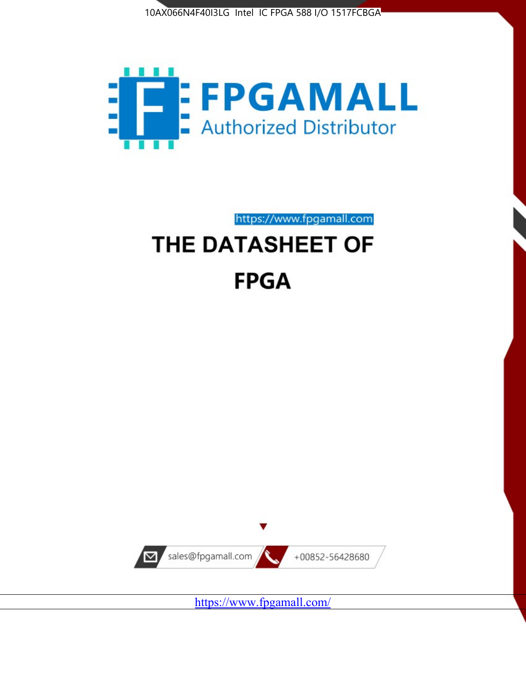



https://www.fpgamall.com

# THE DATASHEET OF **FPGA**



<https://www.fpgamall.com/>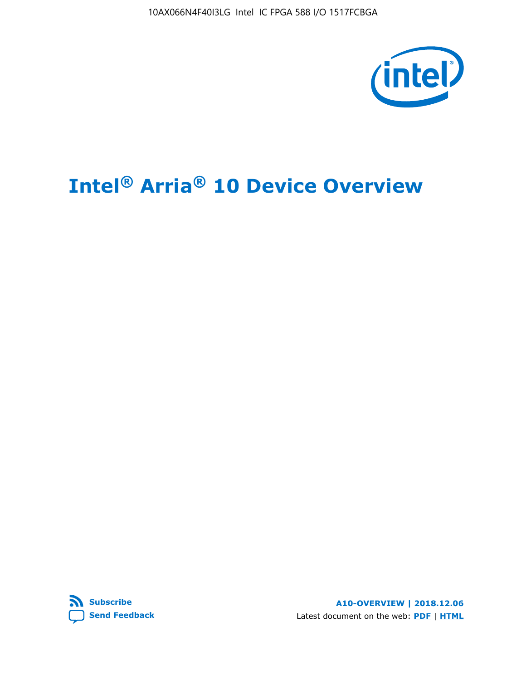10AX066N4F40I3LG Intel IC FPGA 588 I/O 1517FCBGA



# **Intel® Arria® 10 Device Overview**



**A10-OVERVIEW | 2018.12.06** Latest document on the web: **[PDF](https://www.intel.com/content/dam/www/programmable/us/en/pdfs/literature/hb/arria-10/a10_overview.pdf)** | **[HTML](https://www.intel.com/content/www/us/en/programmable/documentation/sam1403480274650.html)**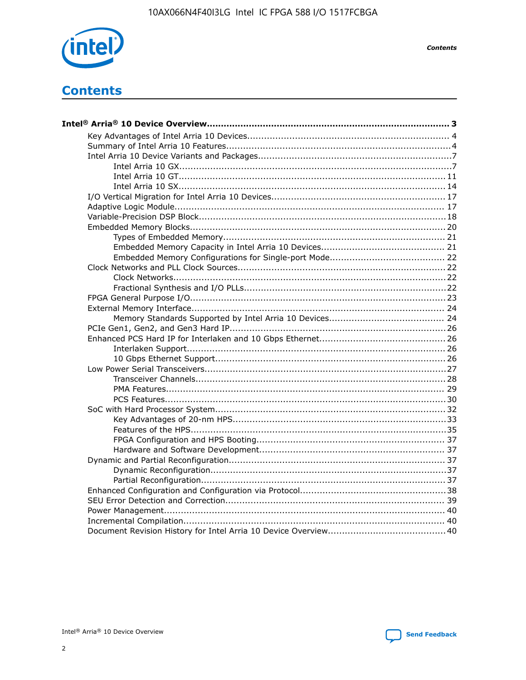

**Contents** 

## **Contents**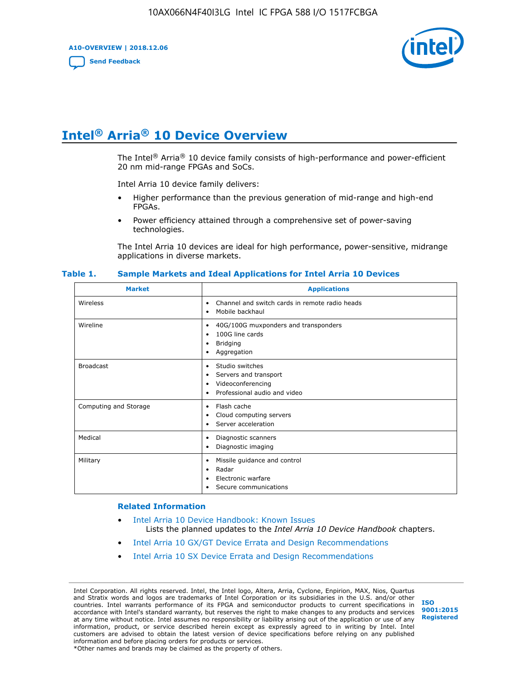**A10-OVERVIEW | 2018.12.06**

**[Send Feedback](mailto:FPGAtechdocfeedback@intel.com?subject=Feedback%20on%20Intel%20Arria%2010%20Device%20Overview%20(A10-OVERVIEW%202018.12.06)&body=We%20appreciate%20your%20feedback.%20In%20your%20comments,%20also%20specify%20the%20page%20number%20or%20paragraph.%20Thank%20you.)**



## **Intel® Arria® 10 Device Overview**

The Intel<sup>®</sup> Arria<sup>®</sup> 10 device family consists of high-performance and power-efficient 20 nm mid-range FPGAs and SoCs.

Intel Arria 10 device family delivers:

- Higher performance than the previous generation of mid-range and high-end FPGAs.
- Power efficiency attained through a comprehensive set of power-saving technologies.

The Intel Arria 10 devices are ideal for high performance, power-sensitive, midrange applications in diverse markets.

| <b>Market</b>         | <b>Applications</b>                                                                                               |
|-----------------------|-------------------------------------------------------------------------------------------------------------------|
| Wireless              | Channel and switch cards in remote radio heads<br>٠<br>Mobile backhaul<br>٠                                       |
| Wireline              | 40G/100G muxponders and transponders<br>٠<br>100G line cards<br>٠<br><b>Bridging</b><br>٠<br>Aggregation<br>٠     |
| <b>Broadcast</b>      | Studio switches<br>٠<br>Servers and transport<br>٠<br>Videoconferencing<br>٠<br>Professional audio and video<br>٠ |
| Computing and Storage | Flash cache<br>٠<br>Cloud computing servers<br>٠<br>Server acceleration<br>٠                                      |
| Medical               | Diagnostic scanners<br>٠<br>Diagnostic imaging<br>٠                                                               |
| Military              | Missile guidance and control<br>٠<br>Radar<br>٠<br>Electronic warfare<br>٠<br>Secure communications<br>٠          |

#### **Table 1. Sample Markets and Ideal Applications for Intel Arria 10 Devices**

#### **Related Information**

- [Intel Arria 10 Device Handbook: Known Issues](http://www.altera.com/support/kdb/solutions/rd07302013_646.html) Lists the planned updates to the *Intel Arria 10 Device Handbook* chapters.
- [Intel Arria 10 GX/GT Device Errata and Design Recommendations](https://www.intel.com/content/www/us/en/programmable/documentation/agz1493851706374.html#yqz1494433888646)
- [Intel Arria 10 SX Device Errata and Design Recommendations](https://www.intel.com/content/www/us/en/programmable/documentation/cru1462832385668.html#cru1462832558642)

Intel Corporation. All rights reserved. Intel, the Intel logo, Altera, Arria, Cyclone, Enpirion, MAX, Nios, Quartus and Stratix words and logos are trademarks of Intel Corporation or its subsidiaries in the U.S. and/or other countries. Intel warrants performance of its FPGA and semiconductor products to current specifications in accordance with Intel's standard warranty, but reserves the right to make changes to any products and services at any time without notice. Intel assumes no responsibility or liability arising out of the application or use of any information, product, or service described herein except as expressly agreed to in writing by Intel. Intel customers are advised to obtain the latest version of device specifications before relying on any published information and before placing orders for products or services. \*Other names and brands may be claimed as the property of others.

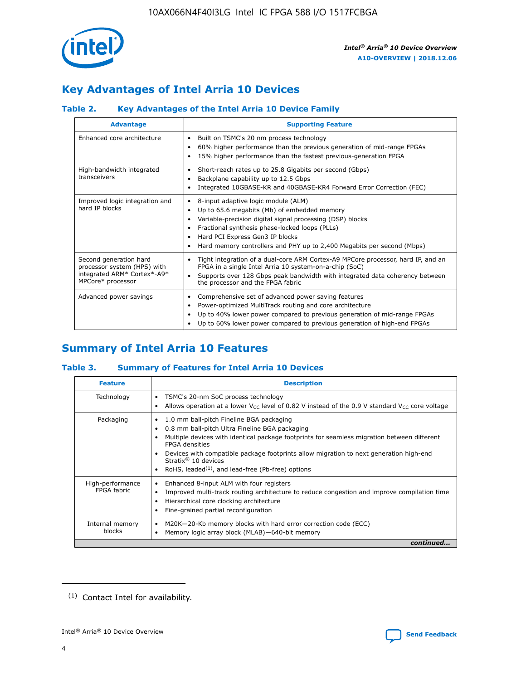

### **Key Advantages of Intel Arria 10 Devices**

### **Table 2. Key Advantages of the Intel Arria 10 Device Family**

| <b>Advantage</b>                                                                                          | <b>Supporting Feature</b>                                                                                                                                                                                                                                                                                                |
|-----------------------------------------------------------------------------------------------------------|--------------------------------------------------------------------------------------------------------------------------------------------------------------------------------------------------------------------------------------------------------------------------------------------------------------------------|
| Enhanced core architecture                                                                                | Built on TSMC's 20 nm process technology<br>٠<br>60% higher performance than the previous generation of mid-range FPGAs<br>٠<br>15% higher performance than the fastest previous-generation FPGA<br>٠                                                                                                                    |
| High-bandwidth integrated<br>transceivers                                                                 | Short-reach rates up to 25.8 Gigabits per second (Gbps)<br>٠<br>Backplane capability up to 12.5 Gbps<br>٠<br>Integrated 10GBASE-KR and 40GBASE-KR4 Forward Error Correction (FEC)<br>٠                                                                                                                                   |
| Improved logic integration and<br>hard IP blocks                                                          | 8-input adaptive logic module (ALM)<br>٠<br>Up to 65.6 megabits (Mb) of embedded memory<br>٠<br>Variable-precision digital signal processing (DSP) blocks<br>Fractional synthesis phase-locked loops (PLLs)<br>Hard PCI Express Gen3 IP blocks<br>Hard memory controllers and PHY up to 2,400 Megabits per second (Mbps) |
| Second generation hard<br>processor system (HPS) with<br>integrated ARM* Cortex*-A9*<br>MPCore* processor | Tight integration of a dual-core ARM Cortex-A9 MPCore processor, hard IP, and an<br>٠<br>FPGA in a single Intel Arria 10 system-on-a-chip (SoC)<br>Supports over 128 Gbps peak bandwidth with integrated data coherency between<br>$\bullet$<br>the processor and the FPGA fabric                                        |
| Advanced power savings                                                                                    | Comprehensive set of advanced power saving features<br>٠<br>Power-optimized MultiTrack routing and core architecture<br>٠<br>Up to 40% lower power compared to previous generation of mid-range FPGAs<br>Up to 60% lower power compared to previous generation of high-end FPGAs                                         |

### **Summary of Intel Arria 10 Features**

### **Table 3. Summary of Features for Intel Arria 10 Devices**

| <b>Feature</b>                  | <b>Description</b>                                                                                                                                                                                                                                                                                                                                                                                 |
|---------------------------------|----------------------------------------------------------------------------------------------------------------------------------------------------------------------------------------------------------------------------------------------------------------------------------------------------------------------------------------------------------------------------------------------------|
| Technology                      | TSMC's 20-nm SoC process technology<br>Allows operation at a lower $V_{\text{CC}}$ level of 0.82 V instead of the 0.9 V standard $V_{\text{CC}}$ core voltage                                                                                                                                                                                                                                      |
| Packaging                       | 1.0 mm ball-pitch Fineline BGA packaging<br>٠<br>0.8 mm ball-pitch Ultra Fineline BGA packaging<br>Multiple devices with identical package footprints for seamless migration between different<br><b>FPGA</b> densities<br>Devices with compatible package footprints allow migration to next generation high-end<br>Stratix $@10$ devices<br>RoHS, leaded $(1)$ , and lead-free (Pb-free) options |
| High-performance<br>FPGA fabric | Enhanced 8-input ALM with four registers<br>Improved multi-track routing architecture to reduce congestion and improve compilation time<br>Hierarchical core clocking architecture<br>Fine-grained partial reconfiguration                                                                                                                                                                         |
| Internal memory<br>blocks       | M20K-20-Kb memory blocks with hard error correction code (ECC)<br>Memory logic array block (MLAB)-640-bit memory                                                                                                                                                                                                                                                                                   |
|                                 | continued                                                                                                                                                                                                                                                                                                                                                                                          |



<sup>(1)</sup> Contact Intel for availability.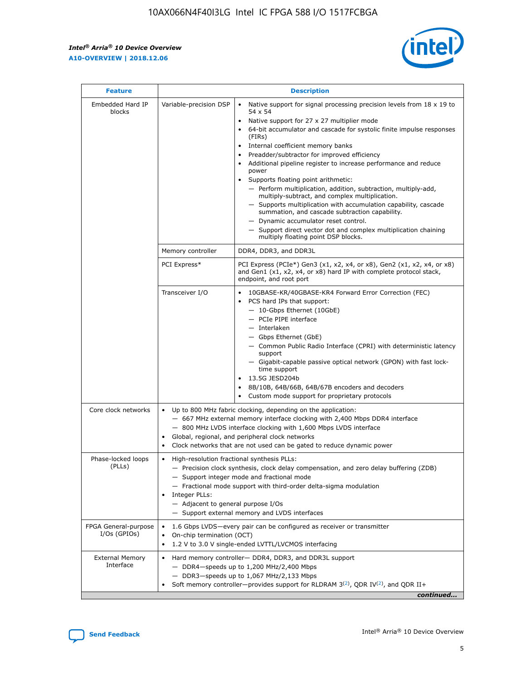r



| <b>Feature</b>                         |                                                                                                        | <b>Description</b>                                                                                                                                                                                                                                                                                                                                                                                                                                                                                                                                                                                                                                                                                                                                                                                                                                                            |
|----------------------------------------|--------------------------------------------------------------------------------------------------------|-------------------------------------------------------------------------------------------------------------------------------------------------------------------------------------------------------------------------------------------------------------------------------------------------------------------------------------------------------------------------------------------------------------------------------------------------------------------------------------------------------------------------------------------------------------------------------------------------------------------------------------------------------------------------------------------------------------------------------------------------------------------------------------------------------------------------------------------------------------------------------|
| Embedded Hard IP<br>blocks             | Variable-precision DSP                                                                                 | Native support for signal processing precision levels from $18 \times 19$ to<br>$\bullet$<br>54 x 54<br>Native support for 27 x 27 multiplier mode<br>$\bullet$<br>64-bit accumulator and cascade for systolic finite impulse responses<br>$\bullet$<br>(FIRs)<br>Internal coefficient memory banks<br>$\bullet$<br>Preadder/subtractor for improved efficiency<br>Additional pipeline register to increase performance and reduce<br>power<br>Supports floating point arithmetic:<br>- Perform multiplication, addition, subtraction, multiply-add,<br>multiply-subtract, and complex multiplication.<br>- Supports multiplication with accumulation capability, cascade<br>summation, and cascade subtraction capability.<br>- Dynamic accumulator reset control.<br>- Support direct vector dot and complex multiplication chaining<br>multiply floating point DSP blocks. |
|                                        | Memory controller                                                                                      | DDR4, DDR3, and DDR3L                                                                                                                                                                                                                                                                                                                                                                                                                                                                                                                                                                                                                                                                                                                                                                                                                                                         |
|                                        | PCI Express*                                                                                           | PCI Express (PCIe*) Gen3 (x1, x2, x4, or x8), Gen2 (x1, x2, x4, or x8)<br>and Gen1 (x1, x2, x4, or x8) hard IP with complete protocol stack,<br>endpoint, and root port                                                                                                                                                                                                                                                                                                                                                                                                                                                                                                                                                                                                                                                                                                       |
|                                        | Transceiver I/O                                                                                        | 10GBASE-KR/40GBASE-KR4 Forward Error Correction (FEC)<br>PCS hard IPs that support:<br>٠<br>- 10-Gbps Ethernet (10GbE)<br>- PCIe PIPE interface<br>- Interlaken<br>- Gbps Ethernet (GbE)<br>- Common Public Radio Interface (CPRI) with deterministic latency<br>support<br>- Gigabit-capable passive optical network (GPON) with fast lock-<br>time support<br>13.5G JESD204b<br>$\bullet$<br>8B/10B, 64B/66B, 64B/67B encoders and decoders<br>$\bullet$<br>Custom mode support for proprietary protocols                                                                                                                                                                                                                                                                                                                                                                   |
| Core clock networks                    | $\bullet$                                                                                              | Up to 800 MHz fabric clocking, depending on the application:<br>- 667 MHz external memory interface clocking with 2,400 Mbps DDR4 interface<br>- 800 MHz LVDS interface clocking with 1,600 Mbps LVDS interface<br>Global, regional, and peripheral clock networks<br>Clock networks that are not used can be gated to reduce dynamic power                                                                                                                                                                                                                                                                                                                                                                                                                                                                                                                                   |
| Phase-locked loops<br>(PLLs)           | High-resolution fractional synthesis PLLs:<br>٠<br>Integer PLLs:<br>- Adjacent to general purpose I/Os | - Precision clock synthesis, clock delay compensation, and zero delay buffering (ZDB)<br>- Support integer mode and fractional mode<br>- Fractional mode support with third-order delta-sigma modulation<br>- Support external memory and LVDS interfaces                                                                                                                                                                                                                                                                                                                                                                                                                                                                                                                                                                                                                     |
| FPGA General-purpose<br>$I/Os$ (GPIOs) | On-chip termination (OCT)<br>٠                                                                         | 1.6 Gbps LVDS-every pair can be configured as receiver or transmitter<br>1.2 V to 3.0 V single-ended LVTTL/LVCMOS interfacing                                                                                                                                                                                                                                                                                                                                                                                                                                                                                                                                                                                                                                                                                                                                                 |
| <b>External Memory</b><br>Interface    | $\bullet$                                                                                              | Hard memory controller- DDR4, DDR3, and DDR3L support<br>- DDR4-speeds up to 1,200 MHz/2,400 Mbps<br>- DDR3-speeds up to 1,067 MHz/2,133 Mbps<br>Soft memory controller—provides support for RLDRAM $3^{(2)}$ , QDR IV $^{(2)}$ , and QDR II+<br>continued                                                                                                                                                                                                                                                                                                                                                                                                                                                                                                                                                                                                                    |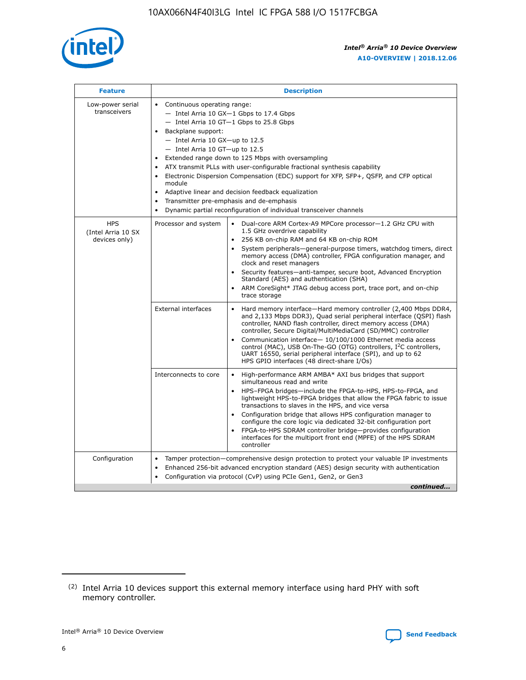

| <b>Feature</b>                                    | <b>Description</b>                                                                                                                                                                                                                                                                                                                                                                                                                                                                                                                                                                                                                                  |
|---------------------------------------------------|-----------------------------------------------------------------------------------------------------------------------------------------------------------------------------------------------------------------------------------------------------------------------------------------------------------------------------------------------------------------------------------------------------------------------------------------------------------------------------------------------------------------------------------------------------------------------------------------------------------------------------------------------------|
| Low-power serial<br>transceivers                  | • Continuous operating range:<br>- Intel Arria 10 GX-1 Gbps to 17.4 Gbps<br>- Intel Arria 10 GT-1 Gbps to 25.8 Gbps<br>Backplane support:<br>- Intel Arria 10 GX-up to 12.5<br>- Intel Arria 10 GT-up to 12.5<br>Extended range down to 125 Mbps with oversampling<br>ATX transmit PLLs with user-configurable fractional synthesis capability<br>Electronic Dispersion Compensation (EDC) support for XFP, SFP+, QSFP, and CFP optical<br>module<br>Adaptive linear and decision feedback equalization<br>$\bullet$<br>Transmitter pre-emphasis and de-emphasis<br>$\bullet$<br>Dynamic partial reconfiguration of individual transceiver channels |
| <b>HPS</b><br>(Intel Arria 10 SX<br>devices only) | Dual-core ARM Cortex-A9 MPCore processor-1.2 GHz CPU with<br>Processor and system<br>$\bullet$<br>1.5 GHz overdrive capability<br>256 KB on-chip RAM and 64 KB on-chip ROM<br>System peripherals—general-purpose timers, watchdog timers, direct<br>memory access (DMA) controller, FPGA configuration manager, and<br>clock and reset managers<br>Security features-anti-tamper, secure boot, Advanced Encryption<br>Standard (AES) and authentication (SHA)<br>ARM CoreSight* JTAG debug access port, trace port, and on-chip<br>trace storage                                                                                                    |
|                                                   | <b>External interfaces</b><br>Hard memory interface-Hard memory controller (2,400 Mbps DDR4,<br>$\bullet$<br>and 2,133 Mbps DDR3), Quad serial peripheral interface (QSPI) flash<br>controller, NAND flash controller, direct memory access (DMA)<br>controller, Secure Digital/MultiMediaCard (SD/MMC) controller<br>Communication interface-10/100/1000 Ethernet media access<br>control (MAC), USB On-The-GO (OTG) controllers, I <sup>2</sup> C controllers,<br>UART 16550, serial peripheral interface (SPI), and up to 62<br>HPS GPIO interfaces (48 direct-share I/Os)                                                                       |
|                                                   | High-performance ARM AMBA* AXI bus bridges that support<br>Interconnects to core<br>$\bullet$<br>simultaneous read and write<br>HPS-FPGA bridges-include the FPGA-to-HPS, HPS-to-FPGA, and<br>$\bullet$<br>lightweight HPS-to-FPGA bridges that allow the FPGA fabric to issue<br>transactions to slaves in the HPS, and vice versa<br>Configuration bridge that allows HPS configuration manager to<br>configure the core logic via dedicated 32-bit configuration port<br>FPGA-to-HPS SDRAM controller bridge-provides configuration<br>interfaces for the multiport front end (MPFE) of the HPS SDRAM<br>controller                              |
| Configuration                                     | Tamper protection—comprehensive design protection to protect your valuable IP investments<br>Enhanced 256-bit advanced encryption standard (AES) design security with authentication<br>٠<br>Configuration via protocol (CvP) using PCIe Gen1, Gen2, or Gen3<br>continued                                                                                                                                                                                                                                                                                                                                                                           |

<sup>(2)</sup> Intel Arria 10 devices support this external memory interface using hard PHY with soft memory controller.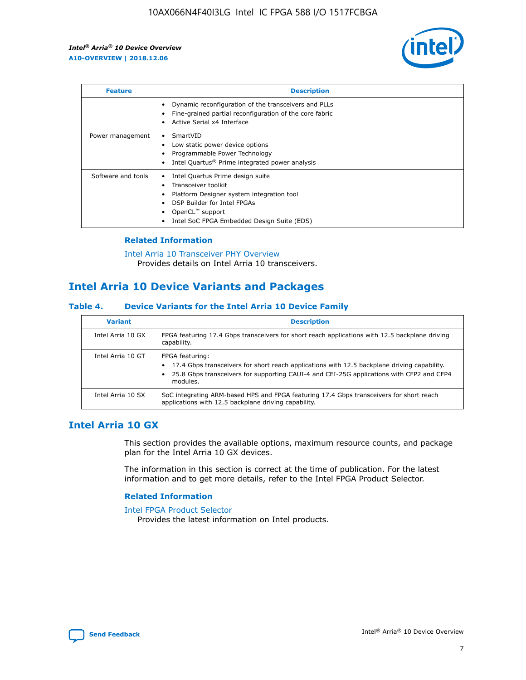

| <b>Feature</b>     | <b>Description</b>                                                                                                                                                                                               |
|--------------------|------------------------------------------------------------------------------------------------------------------------------------------------------------------------------------------------------------------|
|                    | Dynamic reconfiguration of the transceivers and PLLs<br>Fine-grained partial reconfiguration of the core fabric<br>Active Serial x4 Interface<br>$\bullet$                                                       |
| Power management   | SmartVID<br>Low static power device options<br>Programmable Power Technology<br>Intel Quartus <sup>®</sup> Prime integrated power analysis                                                                       |
| Software and tools | Intel Quartus Prime design suite<br>Transceiver toolkit<br>Platform Designer system integration tool<br>DSP Builder for Intel FPGAs<br>OpenCL <sup>™</sup> support<br>Intel SoC FPGA Embedded Design Suite (EDS) |

### **Related Information**

[Intel Arria 10 Transceiver PHY Overview](https://www.intel.com/content/www/us/en/programmable/documentation/nik1398707230472.html#nik1398706768037) Provides details on Intel Arria 10 transceivers.

### **Intel Arria 10 Device Variants and Packages**

#### **Table 4. Device Variants for the Intel Arria 10 Device Family**

| <b>Variant</b>    | <b>Description</b>                                                                                                                                                                                                     |
|-------------------|------------------------------------------------------------------------------------------------------------------------------------------------------------------------------------------------------------------------|
| Intel Arria 10 GX | FPGA featuring 17.4 Gbps transceivers for short reach applications with 12.5 backplane driving<br>capability.                                                                                                          |
| Intel Arria 10 GT | FPGA featuring:<br>17.4 Gbps transceivers for short reach applications with 12.5 backplane driving capability.<br>25.8 Gbps transceivers for supporting CAUI-4 and CEI-25G applications with CFP2 and CFP4<br>modules. |
| Intel Arria 10 SX | SoC integrating ARM-based HPS and FPGA featuring 17.4 Gbps transceivers for short reach<br>applications with 12.5 backplane driving capability.                                                                        |

### **Intel Arria 10 GX**

This section provides the available options, maximum resource counts, and package plan for the Intel Arria 10 GX devices.

The information in this section is correct at the time of publication. For the latest information and to get more details, refer to the Intel FPGA Product Selector.

#### **Related Information**

#### [Intel FPGA Product Selector](http://www.altera.com/products/selector/psg-selector.html) Provides the latest information on Intel products.

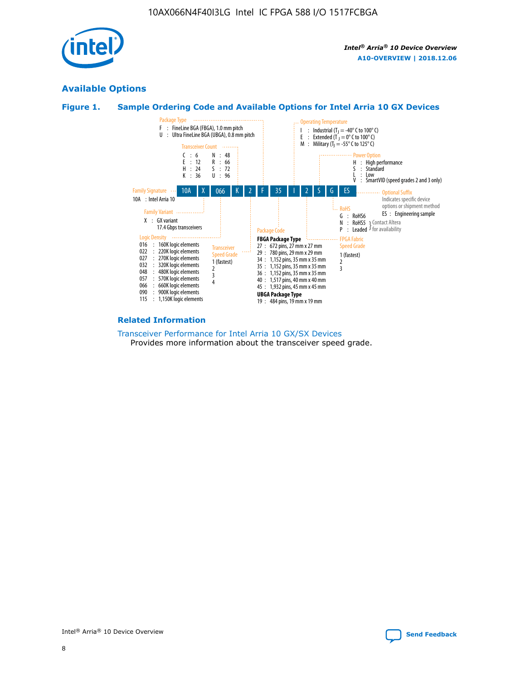

### **Available Options**





#### **Related Information**

[Transceiver Performance for Intel Arria 10 GX/SX Devices](https://www.intel.com/content/www/us/en/programmable/documentation/mcn1413182292568.html#mcn1413213965502) Provides more information about the transceiver speed grade.

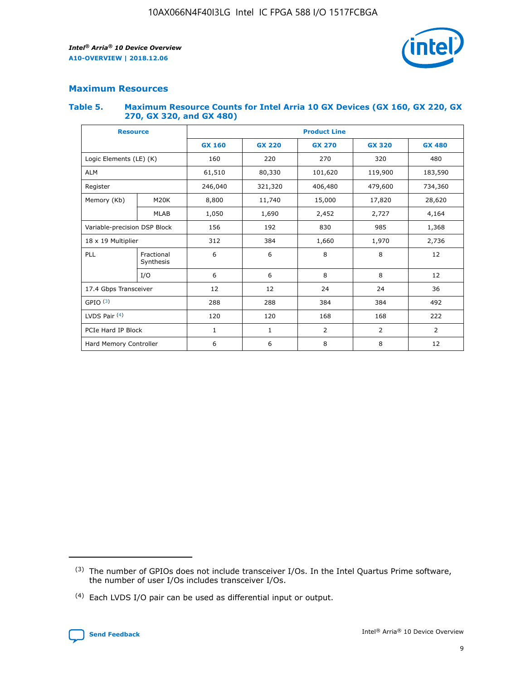

### **Maximum Resources**

#### **Table 5. Maximum Resource Counts for Intel Arria 10 GX Devices (GX 160, GX 220, GX 270, GX 320, and GX 480)**

| <b>Resource</b>         |                                                          | <b>Product Line</b> |                  |                    |                |                |  |  |  |
|-------------------------|----------------------------------------------------------|---------------------|------------------|--------------------|----------------|----------------|--|--|--|
|                         |                                                          | <b>GX 160</b>       | <b>GX 220</b>    | <b>GX 270</b>      | <b>GX 320</b>  | <b>GX 480</b>  |  |  |  |
| Logic Elements (LE) (K) |                                                          | 160                 | 220              | 270                | 320            | 480            |  |  |  |
| <b>ALM</b>              |                                                          | 61,510              | 80,330           | 101,620            | 119,900        | 183,590        |  |  |  |
| Register                |                                                          | 246,040             | 321,320          | 406,480<br>479,600 |                | 734,360        |  |  |  |
| Memory (Kb)             | M <sub>20</sub> K                                        | 8,800               | 11,740<br>15,000 |                    | 17,820         | 28,620         |  |  |  |
| <b>MLAB</b>             |                                                          | 1,050               | 1,690            | 2,452              | 2,727          | 4,164          |  |  |  |
|                         | Variable-precision DSP Block<br>156<br>192<br>830<br>985 |                     |                  |                    | 1,368          |                |  |  |  |
| 18 x 19 Multiplier      |                                                          | 312                 | 384              | 1,970<br>1,660     |                | 2,736          |  |  |  |
| PLL                     | Fractional<br>Synthesis                                  | 6                   | 6                | 8                  | 8              | 12             |  |  |  |
|                         | I/O                                                      | 6                   | 6                | 8                  | 8              | 12             |  |  |  |
| 17.4 Gbps Transceiver   |                                                          | 12                  | 12               | 24                 | 24             | 36             |  |  |  |
| GPIO <sup>(3)</sup>     |                                                          | 288                 | 288              | 384<br>384         |                | 492            |  |  |  |
| LVDS Pair $(4)$         |                                                          | 120                 | 120              | 168                | 168            | 222            |  |  |  |
| PCIe Hard IP Block      |                                                          | 1                   | 1                | 2                  | $\overline{2}$ | $\overline{2}$ |  |  |  |
| Hard Memory Controller  |                                                          | 6                   | 6                | 8                  | 8              | 12             |  |  |  |

<sup>(4)</sup> Each LVDS I/O pair can be used as differential input or output.



<sup>(3)</sup> The number of GPIOs does not include transceiver I/Os. In the Intel Quartus Prime software, the number of user I/Os includes transceiver I/Os.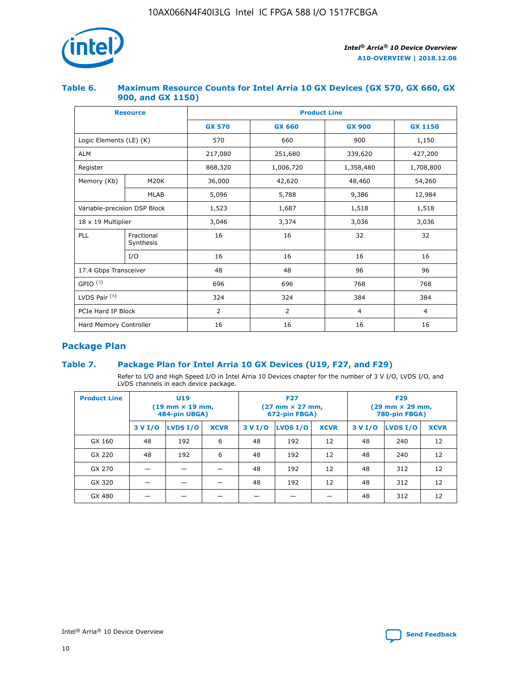

### **Table 6. Maximum Resource Counts for Intel Arria 10 GX Devices (GX 570, GX 660, GX 900, and GX 1150)**

|                              | <b>Resource</b>         | <b>Product Line</b> |               |                |                |  |  |  |  |
|------------------------------|-------------------------|---------------------|---------------|----------------|----------------|--|--|--|--|
|                              |                         | <b>GX 570</b>       | <b>GX 660</b> | <b>GX 900</b>  | <b>GX 1150</b> |  |  |  |  |
| Logic Elements (LE) (K)      |                         | 570                 | 660           | 900            | 1,150          |  |  |  |  |
| <b>ALM</b>                   |                         | 217,080             | 251,680       | 339,620        | 427,200        |  |  |  |  |
| Register                     |                         | 868,320             | 1,006,720     | 1,358,480      | 1,708,800      |  |  |  |  |
| Memory (Kb)                  | <b>M20K</b>             | 36,000              | 42,620        | 48,460         | 54,260         |  |  |  |  |
|                              | <b>MLAB</b>             | 5,096               | 5,788         | 9,386          | 12,984         |  |  |  |  |
| Variable-precision DSP Block |                         | 1,523               | 1,687         | 1,518          | 1,518          |  |  |  |  |
| $18 \times 19$ Multiplier    |                         | 3,046               | 3,374         | 3,036          | 3,036          |  |  |  |  |
| PLL                          | Fractional<br>Synthesis | 16                  | 16            | 32             | 32             |  |  |  |  |
|                              | I/O                     | 16                  | 16            | 16             | 16             |  |  |  |  |
| 17.4 Gbps Transceiver        |                         | 48                  | 48            | 96             | 96             |  |  |  |  |
| GPIO <sup>(3)</sup>          |                         | 696                 | 696           | 768            | 768            |  |  |  |  |
| LVDS Pair $(4)$              |                         | 324                 | 324           | 384            | 384            |  |  |  |  |
| PCIe Hard IP Block           |                         | 2                   | 2             | $\overline{4}$ | $\overline{4}$ |  |  |  |  |
| Hard Memory Controller       |                         | 16                  | 16            | 16             | 16             |  |  |  |  |

### **Package Plan**

### **Table 7. Package Plan for Intel Arria 10 GX Devices (U19, F27, and F29)**

Refer to I/O and High Speed I/O in Intel Arria 10 Devices chapter for the number of 3 V I/O, LVDS I/O, and LVDS channels in each device package.

| <b>Product Line</b> | U <sub>19</sub><br>$(19 \text{ mm} \times 19 \text{ mm})$<br>484-pin UBGA) |          |             |         | <b>F27</b><br>(27 mm × 27 mm,<br>672-pin FBGA) |             | <b>F29</b><br>(29 mm × 29 mm,<br>780-pin FBGA) |          |             |  |
|---------------------|----------------------------------------------------------------------------|----------|-------------|---------|------------------------------------------------|-------------|------------------------------------------------|----------|-------------|--|
|                     | 3 V I/O                                                                    | LVDS I/O | <b>XCVR</b> | 3 V I/O | LVDS I/O                                       | <b>XCVR</b> | 3 V I/O                                        | LVDS I/O | <b>XCVR</b> |  |
| GX 160              | 48                                                                         | 192      | 6           | 48      | 192                                            | 12          | 48                                             | 240      | 12          |  |
| GX 220              | 48                                                                         | 192      | 6           | 48      | 192                                            | 12          | 48                                             | 240      | 12          |  |
| GX 270              |                                                                            |          |             | 48      | 192                                            | 12          | 48                                             | 312      | 12          |  |
| GX 320              |                                                                            |          |             | 48      | 192                                            | 12          | 48                                             | 312      | 12          |  |
| GX 480              |                                                                            |          |             |         |                                                |             | 48                                             | 312      | 12          |  |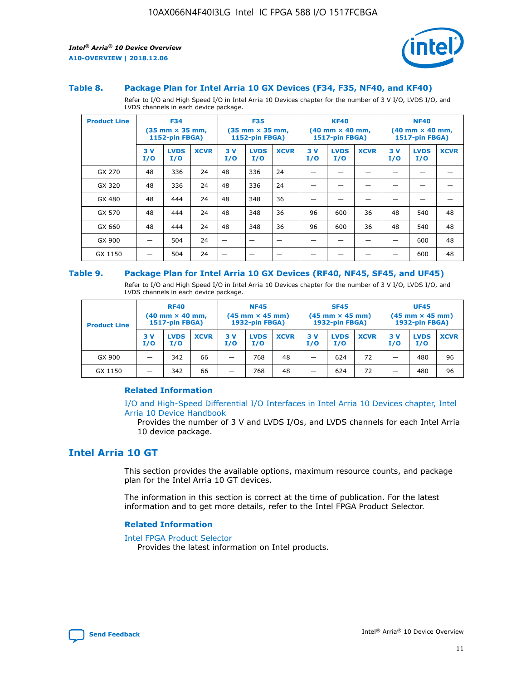

#### **Table 8. Package Plan for Intel Arria 10 GX Devices (F34, F35, NF40, and KF40)**

Refer to I/O and High Speed I/O in Intel Arria 10 Devices chapter for the number of 3 V I/O, LVDS I/O, and LVDS channels in each device package.

| <b>Product Line</b> | <b>F34</b><br>$(35 \text{ mm} \times 35 \text{ mm})$<br>1152-pin FBGA) |                    | <b>F35</b><br>$(35 \text{ mm} \times 35 \text{ mm})$<br><b>1152-pin FBGA)</b> |           | <b>KF40</b><br>$(40 \text{ mm} \times 40 \text{ mm})$<br>1517-pin FBGA) |             |            | <b>NF40</b><br>$(40 \text{ mm} \times 40 \text{ mm})$<br><b>1517-pin FBGA)</b> |             |            |                    |             |
|---------------------|------------------------------------------------------------------------|--------------------|-------------------------------------------------------------------------------|-----------|-------------------------------------------------------------------------|-------------|------------|--------------------------------------------------------------------------------|-------------|------------|--------------------|-------------|
|                     | 3V<br>I/O                                                              | <b>LVDS</b><br>I/O | <b>XCVR</b>                                                                   | 3V<br>I/O | <b>LVDS</b><br>I/O                                                      | <b>XCVR</b> | 3 V<br>I/O | <b>LVDS</b><br>I/O                                                             | <b>XCVR</b> | 3 V<br>I/O | <b>LVDS</b><br>I/O | <b>XCVR</b> |
| GX 270              | 48                                                                     | 336                | 24                                                                            | 48        | 336                                                                     | 24          |            |                                                                                |             |            |                    |             |
| GX 320              | 48                                                                     | 336                | 24                                                                            | 48        | 336                                                                     | 24          |            |                                                                                |             |            |                    |             |
| GX 480              | 48                                                                     | 444                | 24                                                                            | 48        | 348                                                                     | 36          |            |                                                                                |             |            |                    |             |
| GX 570              | 48                                                                     | 444                | 24                                                                            | 48        | 348                                                                     | 36          | 96         | 600                                                                            | 36          | 48         | 540                | 48          |
| GX 660              | 48                                                                     | 444                | 24                                                                            | 48        | 348                                                                     | 36          | 96         | 600                                                                            | 36          | 48         | 540                | 48          |
| GX 900              |                                                                        | 504                | 24                                                                            | -         |                                                                         |             |            |                                                                                |             |            | 600                | 48          |
| GX 1150             |                                                                        | 504                | 24                                                                            |           |                                                                         |             |            |                                                                                |             |            | 600                | 48          |

#### **Table 9. Package Plan for Intel Arria 10 GX Devices (RF40, NF45, SF45, and UF45)**

Refer to I/O and High Speed I/O in Intel Arria 10 Devices chapter for the number of 3 V I/O, LVDS I/O, and LVDS channels in each device package.

| <b>Product Line</b> | <b>RF40</b><br>$(40$ mm $\times$ 40 mm,<br>1517-pin FBGA) |                    |             | <b>NF45</b><br>$(45 \text{ mm} \times 45 \text{ mm})$<br><b>1932-pin FBGA)</b> |                    |             | <b>SF45</b><br>$(45 \text{ mm} \times 45 \text{ mm})$<br><b>1932-pin FBGA)</b> |                    |             | <b>UF45</b><br>$(45 \text{ mm} \times 45 \text{ mm})$<br><b>1932-pin FBGA)</b> |                    |             |
|---------------------|-----------------------------------------------------------|--------------------|-------------|--------------------------------------------------------------------------------|--------------------|-------------|--------------------------------------------------------------------------------|--------------------|-------------|--------------------------------------------------------------------------------|--------------------|-------------|
|                     | 3V<br>I/O                                                 | <b>LVDS</b><br>I/O | <b>XCVR</b> | 3 V<br>I/O                                                                     | <b>LVDS</b><br>I/O | <b>XCVR</b> | 3 V<br>I/O                                                                     | <b>LVDS</b><br>I/O | <b>XCVR</b> | 3V<br>I/O                                                                      | <b>LVDS</b><br>I/O | <b>XCVR</b> |
| GX 900              |                                                           | 342                | 66          | _                                                                              | 768                | 48          |                                                                                | 624                | 72          |                                                                                | 480                | 96          |
| GX 1150             |                                                           | 342                | 66          | _                                                                              | 768                | 48          |                                                                                | 624                | 72          |                                                                                | 480                | 96          |

### **Related Information**

[I/O and High-Speed Differential I/O Interfaces in Intel Arria 10 Devices chapter, Intel](https://www.intel.com/content/www/us/en/programmable/documentation/sam1403482614086.html#sam1403482030321) [Arria 10 Device Handbook](https://www.intel.com/content/www/us/en/programmable/documentation/sam1403482614086.html#sam1403482030321)

Provides the number of 3 V and LVDS I/Os, and LVDS channels for each Intel Arria 10 device package.

### **Intel Arria 10 GT**

This section provides the available options, maximum resource counts, and package plan for the Intel Arria 10 GT devices.

The information in this section is correct at the time of publication. For the latest information and to get more details, refer to the Intel FPGA Product Selector.

#### **Related Information**

#### [Intel FPGA Product Selector](http://www.altera.com/products/selector/psg-selector.html)

Provides the latest information on Intel products.

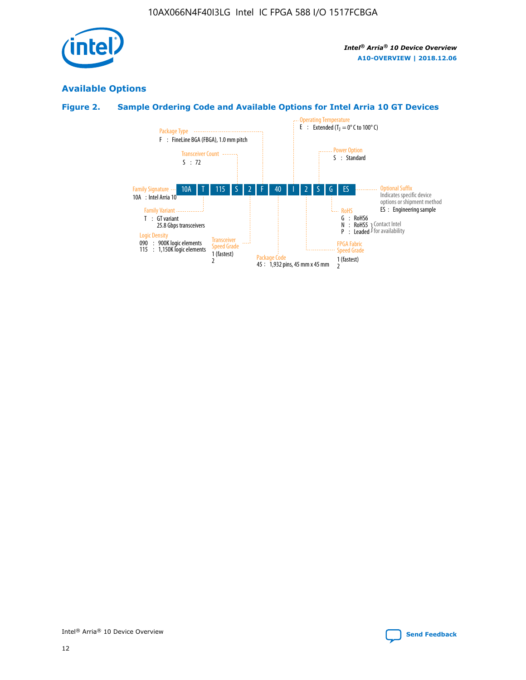

### **Available Options**

### **Figure 2. Sample Ordering Code and Available Options for Intel Arria 10 GT Devices**

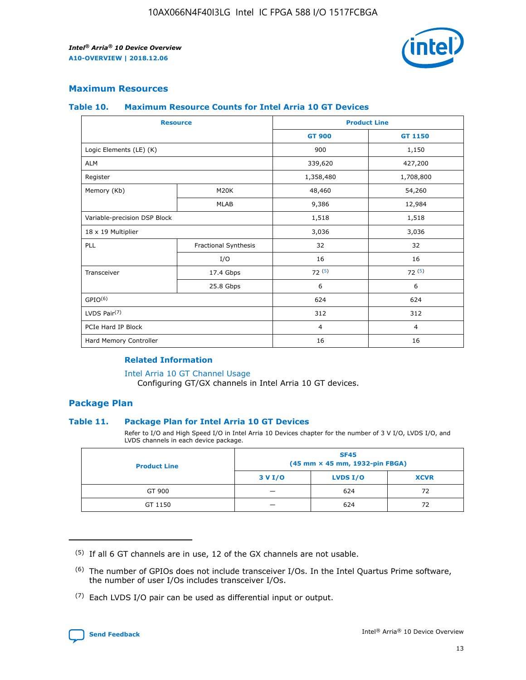

### **Maximum Resources**

#### **Table 10. Maximum Resource Counts for Intel Arria 10 GT Devices**

| <b>Resource</b>              |                      |                | <b>Product Line</b> |  |
|------------------------------|----------------------|----------------|---------------------|--|
|                              |                      | <b>GT 900</b>  | <b>GT 1150</b>      |  |
| Logic Elements (LE) (K)      |                      | 900            | 1,150               |  |
| <b>ALM</b>                   |                      | 339,620        | 427,200             |  |
| Register                     |                      | 1,358,480      | 1,708,800           |  |
| Memory (Kb)                  | M20K                 | 48,460         | 54,260              |  |
|                              | <b>MLAB</b>          | 9,386          | 12,984              |  |
| Variable-precision DSP Block |                      | 1,518          | 1,518               |  |
| 18 x 19 Multiplier           |                      | 3,036          | 3,036               |  |
| PLL                          | Fractional Synthesis | 32             | 32                  |  |
|                              | I/O                  | 16             | 16                  |  |
| Transceiver                  | 17.4 Gbps            | 72(5)          | 72(5)               |  |
|                              | 25.8 Gbps            | 6              | 6                   |  |
| GPIO <sup>(6)</sup>          |                      | 624            | 624                 |  |
| LVDS Pair $(7)$              |                      | 312            | 312                 |  |
| PCIe Hard IP Block           |                      | $\overline{4}$ | $\overline{4}$      |  |
| Hard Memory Controller       |                      | 16             | 16                  |  |

### **Related Information**

#### [Intel Arria 10 GT Channel Usage](https://www.intel.com/content/www/us/en/programmable/documentation/nik1398707230472.html#nik1398707008178)

Configuring GT/GX channels in Intel Arria 10 GT devices.

### **Package Plan**

### **Table 11. Package Plan for Intel Arria 10 GT Devices**

Refer to I/O and High Speed I/O in Intel Arria 10 Devices chapter for the number of 3 V I/O, LVDS I/O, and LVDS channels in each device package.

| <b>Product Line</b> | <b>SF45</b><br>(45 mm × 45 mm, 1932-pin FBGA) |                 |             |  |  |  |
|---------------------|-----------------------------------------------|-----------------|-------------|--|--|--|
|                     | 3 V I/O                                       | <b>LVDS I/O</b> | <b>XCVR</b> |  |  |  |
| GT 900              |                                               | 624             | 72          |  |  |  |
| GT 1150             |                                               | 624             |             |  |  |  |

<sup>(7)</sup> Each LVDS I/O pair can be used as differential input or output.



 $(5)$  If all 6 GT channels are in use, 12 of the GX channels are not usable.

<sup>(6)</sup> The number of GPIOs does not include transceiver I/Os. In the Intel Quartus Prime software, the number of user I/Os includes transceiver I/Os.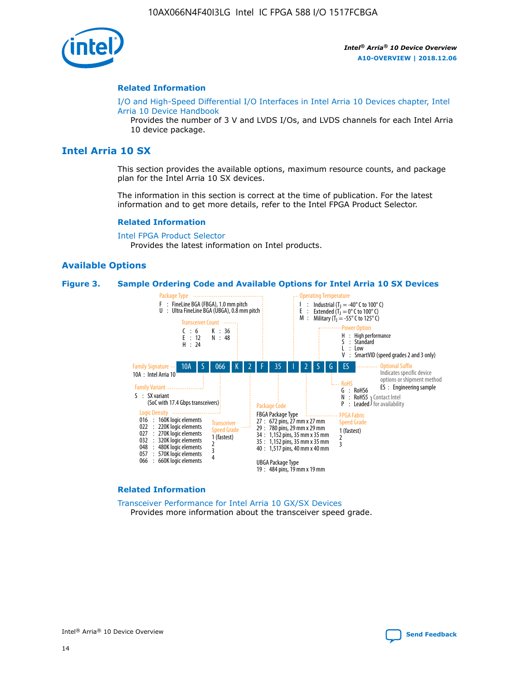

#### **Related Information**

[I/O and High-Speed Differential I/O Interfaces in Intel Arria 10 Devices chapter, Intel](https://www.intel.com/content/www/us/en/programmable/documentation/sam1403482614086.html#sam1403482030321) [Arria 10 Device Handbook](https://www.intel.com/content/www/us/en/programmable/documentation/sam1403482614086.html#sam1403482030321)

Provides the number of 3 V and LVDS I/Os, and LVDS channels for each Intel Arria 10 device package.

### **Intel Arria 10 SX**

This section provides the available options, maximum resource counts, and package plan for the Intel Arria 10 SX devices.

The information in this section is correct at the time of publication. For the latest information and to get more details, refer to the Intel FPGA Product Selector.

#### **Related Information**

[Intel FPGA Product Selector](http://www.altera.com/products/selector/psg-selector.html) Provides the latest information on Intel products.

#### **Available Options**

#### **Figure 3. Sample Ordering Code and Available Options for Intel Arria 10 SX Devices**



#### **Related Information**

[Transceiver Performance for Intel Arria 10 GX/SX Devices](https://www.intel.com/content/www/us/en/programmable/documentation/mcn1413182292568.html#mcn1413213965502) Provides more information about the transceiver speed grade.

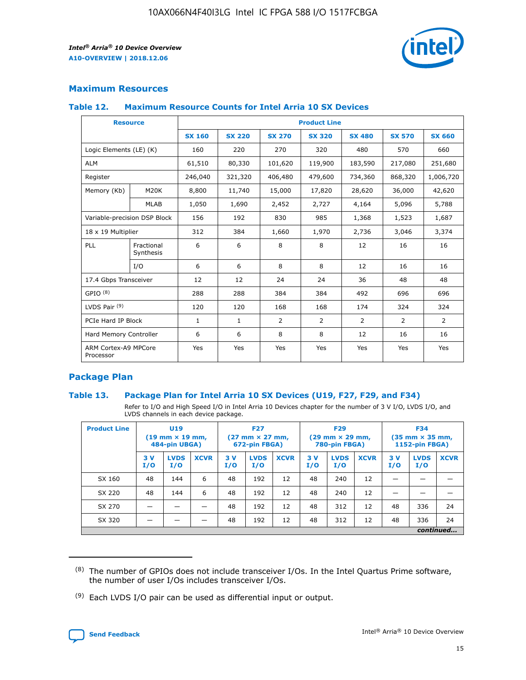

### **Maximum Resources**

#### **Table 12. Maximum Resource Counts for Intel Arria 10 SX Devices**

| <b>Resource</b>                   |                         | <b>Product Line</b> |               |               |                |               |               |               |  |  |  |
|-----------------------------------|-------------------------|---------------------|---------------|---------------|----------------|---------------|---------------|---------------|--|--|--|
|                                   |                         | <b>SX 160</b>       | <b>SX 220</b> | <b>SX 270</b> | <b>SX 320</b>  | <b>SX 480</b> | <b>SX 570</b> | <b>SX 660</b> |  |  |  |
| Logic Elements (LE) (K)           |                         | 160                 | 220           | 270           | 320            | 480           | 570           | 660           |  |  |  |
| <b>ALM</b>                        |                         | 61,510              | 80,330        | 101,620       | 119,900        | 183,590       | 217,080       | 251,680       |  |  |  |
| Register                          |                         | 246,040             | 321,320       | 406,480       | 479,600        | 734,360       | 868,320       | 1,006,720     |  |  |  |
| Memory (Kb)                       | M20K                    | 8,800               | 11,740        | 15,000        | 17,820         | 28,620        | 36,000        | 42,620        |  |  |  |
|                                   | <b>MLAB</b>             | 1,050               | 1,690         | 2,452         | 2,727          | 4,164         | 5,096         | 5,788         |  |  |  |
| Variable-precision DSP Block      |                         | 156                 | 192           | 830           | 985            | 1,368         | 1,523         | 1,687         |  |  |  |
| 18 x 19 Multiplier                |                         | 312                 | 384           | 1,660         | 1,970          | 2,736         | 3,046         | 3,374         |  |  |  |
| PLL                               | Fractional<br>Synthesis | 6                   | 6             | 8             | 8              | 12            | 16            | 16            |  |  |  |
|                                   | I/O                     | 6                   | 6             | 8             | 8              | 12            | 16            | 16            |  |  |  |
| 17.4 Gbps Transceiver             |                         | 12                  | 12            | 24            | 24             | 36            | 48            | 48            |  |  |  |
| GPIO <sup>(8)</sup>               |                         | 288                 | 288           | 384           | 384            | 492           | 696           | 696           |  |  |  |
| LVDS Pair $(9)$                   |                         | 120                 | 120           | 168           | 168            | 174           | 324           | 324           |  |  |  |
| PCIe Hard IP Block                |                         | $\mathbf{1}$        | $\mathbf{1}$  | 2             | $\overline{2}$ | 2             | 2             | 2             |  |  |  |
| Hard Memory Controller            |                         | 6                   | 6             | 8             | 8              | 12            | 16            | 16            |  |  |  |
| ARM Cortex-A9 MPCore<br>Processor |                         | Yes                 | Yes           | Yes           | Yes            | Yes           | Yes           | Yes           |  |  |  |

### **Package Plan**

### **Table 13. Package Plan for Intel Arria 10 SX Devices (U19, F27, F29, and F34)**

Refer to I/O and High Speed I/O in Intel Arria 10 Devices chapter for the number of 3 V I/O, LVDS I/O, and LVDS channels in each device package.

| <b>Product Line</b> | <b>U19</b><br>$(19$ mm $\times$ 19 mm,<br>484-pin UBGA) |                    |             | <b>F27</b><br>$(27 \text{ mm} \times 27 \text{ mm})$<br>672-pin FBGA) |                    | <b>F29</b><br>$(29 \text{ mm} \times 29 \text{ mm})$<br>780-pin FBGA) |           |                    | <b>F34</b><br>$(35 \text{ mm} \times 35 \text{ mm})$<br><b>1152-pin FBGA)</b> |           |                    |             |
|---------------------|---------------------------------------------------------|--------------------|-------------|-----------------------------------------------------------------------|--------------------|-----------------------------------------------------------------------|-----------|--------------------|-------------------------------------------------------------------------------|-----------|--------------------|-------------|
|                     | 3V<br>I/O                                               | <b>LVDS</b><br>I/O | <b>XCVR</b> | 3V<br>I/O                                                             | <b>LVDS</b><br>I/O | <b>XCVR</b>                                                           | 3V<br>I/O | <b>LVDS</b><br>I/O | <b>XCVR</b>                                                                   | 3V<br>I/O | <b>LVDS</b><br>I/O | <b>XCVR</b> |
| SX 160              | 48                                                      | 144                | 6           | 48                                                                    | 192                | 12                                                                    | 48        | 240                | 12                                                                            | -         |                    |             |
| SX 220              | 48                                                      | 144                | 6           | 48                                                                    | 192                | 12                                                                    | 48        | 240                | 12                                                                            |           |                    |             |
| SX 270              |                                                         |                    |             | 48                                                                    | 192                | 12                                                                    | 48        | 312                | 12                                                                            | 48        | 336                | 24          |
| SX 320              |                                                         |                    |             | 48                                                                    | 192                | 12                                                                    | 48        | 312                | 12                                                                            | 48        | 336                | 24          |
|                     | continued                                               |                    |             |                                                                       |                    |                                                                       |           |                    |                                                                               |           |                    |             |

 $(8)$  The number of GPIOs does not include transceiver I/Os. In the Intel Quartus Prime software, the number of user I/Os includes transceiver I/Os.

 $(9)$  Each LVDS I/O pair can be used as differential input or output.

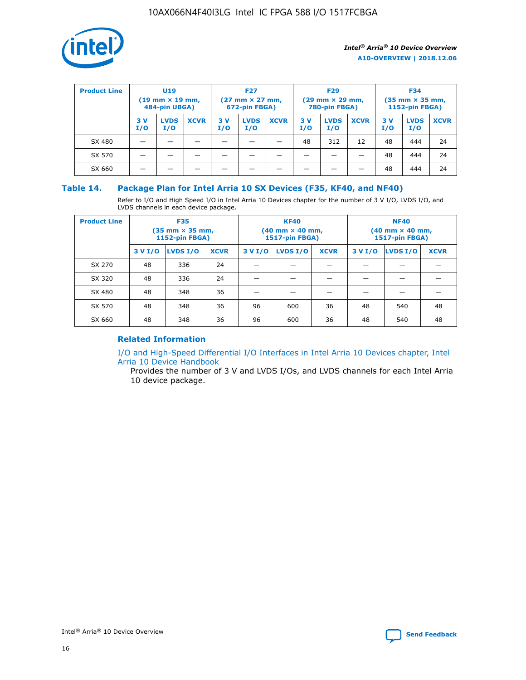

| <b>Product Line</b> | U <sub>19</sub><br>$(19 \text{ mm} \times 19 \text{ mm})$<br>484-pin UBGA) |                    | <b>F27</b><br>$(27 \text{ mm} \times 27 \text{ mm})$<br>672-pin FBGA) |            | <b>F29</b><br>$(29 \text{ mm} \times 29 \text{ mm})$<br>780-pin FBGA) |             |           | <b>F34</b><br>$(35 \text{ mm} \times 35 \text{ mm})$<br><b>1152-pin FBGA)</b> |             |           |                    |             |
|---------------------|----------------------------------------------------------------------------|--------------------|-----------------------------------------------------------------------|------------|-----------------------------------------------------------------------|-------------|-----------|-------------------------------------------------------------------------------|-------------|-----------|--------------------|-------------|
|                     | 3 V<br>I/O                                                                 | <b>LVDS</b><br>I/O | <b>XCVR</b>                                                           | 3 V<br>I/O | <b>LVDS</b><br>I/O                                                    | <b>XCVR</b> | 3V<br>I/O | <b>LVDS</b><br>I/O                                                            | <b>XCVR</b> | 3V<br>I/O | <b>LVDS</b><br>I/O | <b>XCVR</b> |
| SX 480              |                                                                            |                    |                                                                       |            |                                                                       |             | 48        | 312                                                                           | 12          | 48        | 444                | 24          |
| SX 570              |                                                                            |                    |                                                                       |            |                                                                       |             |           |                                                                               |             | 48        | 444                | 24          |
| SX 660              |                                                                            |                    |                                                                       |            |                                                                       |             |           |                                                                               |             | 48        | 444                | 24          |

### **Table 14. Package Plan for Intel Arria 10 SX Devices (F35, KF40, and NF40)**

Refer to I/O and High Speed I/O in Intel Arria 10 Devices chapter for the number of 3 V I/O, LVDS I/O, and LVDS channels in each device package.

| <b>Product Line</b> | <b>F35</b><br>(35 mm × 35 mm,<br>1152-pin FBGA) |          |             |                                           | <b>KF40</b><br>(40 mm × 40 mm,<br>1517-pin FBGA) |    | <b>NF40</b><br>(40 mm × 40 mm,<br>1517-pin FBGA) |          |             |  |
|---------------------|-------------------------------------------------|----------|-------------|-------------------------------------------|--------------------------------------------------|----|--------------------------------------------------|----------|-------------|--|
|                     | 3 V I/O                                         | LVDS I/O | <b>XCVR</b> | <b>LVDS I/O</b><br>3 V I/O<br><b>XCVR</b> |                                                  |    | 3 V I/O                                          | LVDS I/O | <b>XCVR</b> |  |
| SX 270              | 48                                              | 336      | 24          |                                           |                                                  |    |                                                  |          |             |  |
| SX 320              | 48                                              | 336      | 24          |                                           |                                                  |    |                                                  |          |             |  |
| SX 480              | 48                                              | 348      | 36          |                                           |                                                  |    |                                                  |          |             |  |
| SX 570              | 48                                              | 348      | 36          | 96                                        | 600                                              | 36 | 48                                               | 540      | 48          |  |
| SX 660              | 48                                              | 348      | 36          | 96                                        | 600                                              | 36 | 48                                               | 540      | 48          |  |

### **Related Information**

[I/O and High-Speed Differential I/O Interfaces in Intel Arria 10 Devices chapter, Intel](https://www.intel.com/content/www/us/en/programmable/documentation/sam1403482614086.html#sam1403482030321) [Arria 10 Device Handbook](https://www.intel.com/content/www/us/en/programmable/documentation/sam1403482614086.html#sam1403482030321)

Provides the number of 3 V and LVDS I/Os, and LVDS channels for each Intel Arria 10 device package.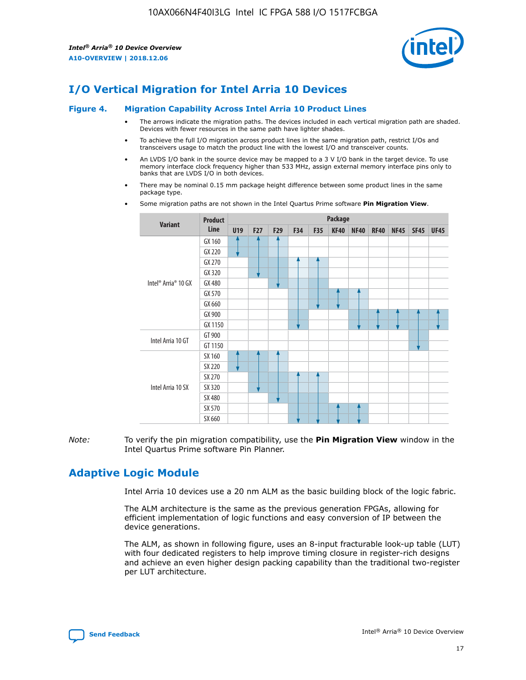

### **I/O Vertical Migration for Intel Arria 10 Devices**

#### **Figure 4. Migration Capability Across Intel Arria 10 Product Lines**

- The arrows indicate the migration paths. The devices included in each vertical migration path are shaded. Devices with fewer resources in the same path have lighter shades.
- To achieve the full I/O migration across product lines in the same migration path, restrict I/Os and transceivers usage to match the product line with the lowest I/O and transceiver counts.
- An LVDS I/O bank in the source device may be mapped to a 3 V I/O bank in the target device. To use memory interface clock frequency higher than 533 MHz, assign external memory interface pins only to banks that are LVDS I/O in both devices.
- There may be nominal 0.15 mm package height difference between some product lines in the same package type.
	- **Variant Product Line Package U19 F27 F29 F34 F35 KF40 NF40 RF40 NF45 SF45 UF45** Intel® Arria® 10 GX GX 160 GX 220 GX 270 GX 320 GX 480 GX 570 GX 660 GX 900 GX 1150 Intel Arria 10 GT GT 900 GT 1150 Intel Arria 10 SX SX 160 SX 220 SX 270 SX 320 SX 480 SX 570 SX 660
- Some migration paths are not shown in the Intel Quartus Prime software **Pin Migration View**.

*Note:* To verify the pin migration compatibility, use the **Pin Migration View** window in the Intel Quartus Prime software Pin Planner.

### **Adaptive Logic Module**

Intel Arria 10 devices use a 20 nm ALM as the basic building block of the logic fabric.

The ALM architecture is the same as the previous generation FPGAs, allowing for efficient implementation of logic functions and easy conversion of IP between the device generations.

The ALM, as shown in following figure, uses an 8-input fracturable look-up table (LUT) with four dedicated registers to help improve timing closure in register-rich designs and achieve an even higher design packing capability than the traditional two-register per LUT architecture.

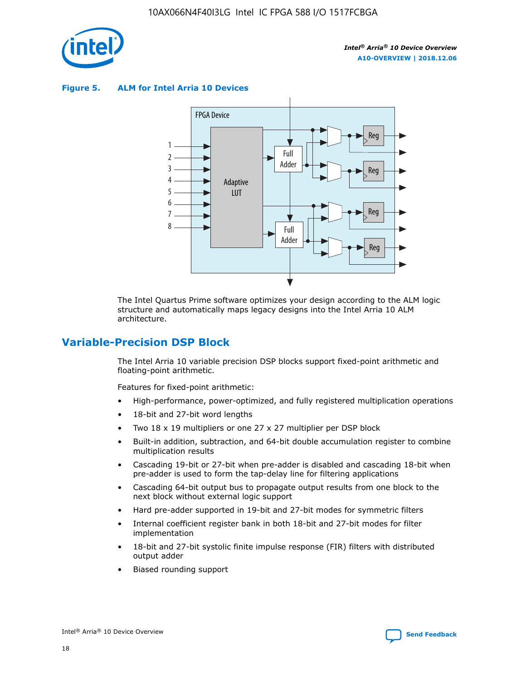

**Figure 5. ALM for Intel Arria 10 Devices**



The Intel Quartus Prime software optimizes your design according to the ALM logic structure and automatically maps legacy designs into the Intel Arria 10 ALM architecture.

### **Variable-Precision DSP Block**

The Intel Arria 10 variable precision DSP blocks support fixed-point arithmetic and floating-point arithmetic.

Features for fixed-point arithmetic:

- High-performance, power-optimized, and fully registered multiplication operations
- 18-bit and 27-bit word lengths
- Two 18 x 19 multipliers or one 27 x 27 multiplier per DSP block
- Built-in addition, subtraction, and 64-bit double accumulation register to combine multiplication results
- Cascading 19-bit or 27-bit when pre-adder is disabled and cascading 18-bit when pre-adder is used to form the tap-delay line for filtering applications
- Cascading 64-bit output bus to propagate output results from one block to the next block without external logic support
- Hard pre-adder supported in 19-bit and 27-bit modes for symmetric filters
- Internal coefficient register bank in both 18-bit and 27-bit modes for filter implementation
- 18-bit and 27-bit systolic finite impulse response (FIR) filters with distributed output adder
- Biased rounding support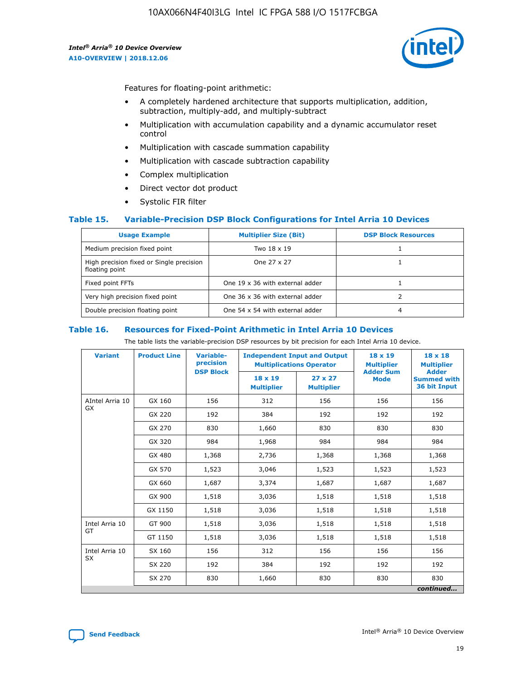

Features for floating-point arithmetic:

- A completely hardened architecture that supports multiplication, addition, subtraction, multiply-add, and multiply-subtract
- Multiplication with accumulation capability and a dynamic accumulator reset control
- Multiplication with cascade summation capability
- Multiplication with cascade subtraction capability
- Complex multiplication
- Direct vector dot product
- Systolic FIR filter

### **Table 15. Variable-Precision DSP Block Configurations for Intel Arria 10 Devices**

| <b>Usage Example</b>                                       | <b>Multiplier Size (Bit)</b>    | <b>DSP Block Resources</b> |
|------------------------------------------------------------|---------------------------------|----------------------------|
| Medium precision fixed point                               | Two 18 x 19                     |                            |
| High precision fixed or Single precision<br>floating point | One 27 x 27                     |                            |
| Fixed point FFTs                                           | One 19 x 36 with external adder |                            |
| Very high precision fixed point                            | One 36 x 36 with external adder |                            |
| Double precision floating point                            | One 54 x 54 with external adder | 4                          |

#### **Table 16. Resources for Fixed-Point Arithmetic in Intel Arria 10 Devices**

The table lists the variable-precision DSP resources by bit precision for each Intel Arria 10 device.

| <b>Variant</b>  | <b>Product Line</b> | Variable-<br>precision | <b>Independent Input and Output</b><br><b>Multiplications Operator</b> |                                     | $18 \times 19$<br><b>Multiplier</b><br><b>Adder Sum</b> | $18 \times 18$<br><b>Multiplier</b>                |
|-----------------|---------------------|------------------------|------------------------------------------------------------------------|-------------------------------------|---------------------------------------------------------|----------------------------------------------------|
|                 |                     | <b>DSP Block</b>       | 18 x 19<br><b>Multiplier</b>                                           | $27 \times 27$<br><b>Multiplier</b> | <b>Mode</b>                                             | <b>Adder</b><br><b>Summed with</b><br>36 bit Input |
| AIntel Arria 10 | GX 160              | 156                    | 312                                                                    | 156                                 | 156                                                     | 156                                                |
| GX              | GX 220              | 192                    | 384                                                                    | 192                                 | 192                                                     | 192                                                |
|                 | GX 270              | 830                    | 1,660                                                                  | 830                                 | 830                                                     | 830                                                |
|                 | GX 320              | 984                    | 1,968                                                                  | 984                                 | 984                                                     | 984                                                |
|                 | GX 480              | 1,368                  | 2,736                                                                  | 1,368                               | 1,368                                                   | 1,368                                              |
|                 | GX 570              | 1,523                  | 3,046                                                                  | 1,523                               | 1,523                                                   | 1,523                                              |
|                 | GX 660              | 1,687                  | 3,374                                                                  | 1,687                               | 1,687                                                   | 1,687                                              |
|                 | GX 900              | 1,518                  | 3,036                                                                  | 1,518                               | 1,518                                                   | 1,518                                              |
|                 | GX 1150             | 1,518                  | 3,036                                                                  | 1,518                               | 1,518                                                   | 1,518                                              |
| Intel Arria 10  | GT 900              | 1,518                  | 3,036                                                                  | 1,518                               | 1,518                                                   | 1,518                                              |
| GT              | GT 1150             | 1,518                  | 3,036                                                                  | 1,518                               | 1,518                                                   | 1,518                                              |
| Intel Arria 10  | SX 160              | 156                    | 312                                                                    | 156                                 | 156                                                     | 156                                                |
| <b>SX</b>       | SX 220              | 192                    | 384                                                                    | 192                                 | 192                                                     | 192                                                |
|                 | SX 270              | 830                    | 1,660                                                                  | 830                                 | 830                                                     | 830                                                |
|                 |                     |                        |                                                                        |                                     |                                                         | continued                                          |

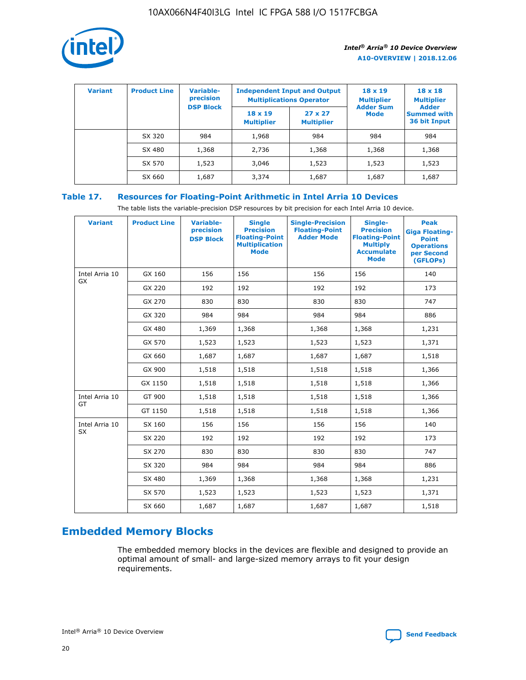

| <b>Variant</b> | <b>Product Line</b> | <b>Variable-</b><br>precision<br><b>DSP Block</b> | <b>Independent Input and Output</b><br><b>Multiplications Operator</b> |                                     | $18 \times 19$<br><b>Multiplier</b><br><b>Adder Sum</b> | $18 \times 18$<br><b>Multiplier</b><br><b>Adder</b> |  |
|----------------|---------------------|---------------------------------------------------|------------------------------------------------------------------------|-------------------------------------|---------------------------------------------------------|-----------------------------------------------------|--|
|                |                     |                                                   | $18 \times 19$<br><b>Multiplier</b>                                    | $27 \times 27$<br><b>Multiplier</b> | <b>Mode</b>                                             | <b>Summed with</b><br>36 bit Input                  |  |
|                | SX 320              | 984                                               | 1,968                                                                  | 984                                 | 984                                                     | 984                                                 |  |
|                | SX 480              | 1,368                                             | 2,736                                                                  | 1,368                               | 1,368                                                   | 1,368                                               |  |
|                | SX 570              | 1,523                                             | 3,046                                                                  | 1,523                               | 1,523                                                   | 1,523                                               |  |
|                | SX 660              | 1,687                                             | 3,374                                                                  | 1,687                               | 1,687                                                   | 1,687                                               |  |

### **Table 17. Resources for Floating-Point Arithmetic in Intel Arria 10 Devices**

The table lists the variable-precision DSP resources by bit precision for each Intel Arria 10 device.

| <b>Variant</b> | <b>Product Line</b> | <b>Variable-</b><br>precision<br><b>DSP Block</b> | <b>Single</b><br><b>Precision</b><br><b>Floating-Point</b><br><b>Multiplication</b><br><b>Mode</b> | <b>Single-Precision</b><br><b>Floating-Point</b><br><b>Adder Mode</b> | Single-<br><b>Precision</b><br><b>Floating-Point</b><br><b>Multiply</b><br><b>Accumulate</b><br><b>Mode</b> | <b>Peak</b><br><b>Giga Floating-</b><br><b>Point</b><br><b>Operations</b><br>per Second<br>(GFLOPs) |
|----------------|---------------------|---------------------------------------------------|----------------------------------------------------------------------------------------------------|-----------------------------------------------------------------------|-------------------------------------------------------------------------------------------------------------|-----------------------------------------------------------------------------------------------------|
| Intel Arria 10 | GX 160              | 156                                               | 156                                                                                                | 156                                                                   | 156                                                                                                         | 140                                                                                                 |
| GX             | GX 220              | 192                                               | 192                                                                                                | 192                                                                   | 192                                                                                                         | 173                                                                                                 |
|                | GX 270              | 830                                               | 830                                                                                                | 830                                                                   | 830                                                                                                         | 747                                                                                                 |
|                | GX 320              | 984                                               | 984                                                                                                | 984                                                                   | 984                                                                                                         | 886                                                                                                 |
|                | GX 480              | 1,369                                             | 1,368                                                                                              | 1,368                                                                 | 1,368                                                                                                       | 1,231                                                                                               |
|                | GX 570              | 1,523                                             | 1,523                                                                                              | 1,523                                                                 | 1,523                                                                                                       | 1,371                                                                                               |
|                | GX 660              | 1,687                                             | 1,687                                                                                              | 1,687                                                                 | 1,687                                                                                                       | 1,518                                                                                               |
|                | GX 900              | 1,518                                             | 1,518                                                                                              | 1,518                                                                 | 1,518                                                                                                       | 1,366                                                                                               |
|                | GX 1150             | 1,518                                             | 1,518                                                                                              | 1,518                                                                 | 1,518                                                                                                       | 1,366                                                                                               |
| Intel Arria 10 | GT 900              | 1,518                                             | 1,518                                                                                              | 1,518                                                                 | 1,518                                                                                                       | 1,366                                                                                               |
| GT             | GT 1150             | 1,518                                             | 1,518                                                                                              | 1,518                                                                 | 1,518                                                                                                       | 1,366                                                                                               |
| Intel Arria 10 | SX 160              | 156                                               | 156                                                                                                | 156                                                                   | 156                                                                                                         | 140                                                                                                 |
| <b>SX</b>      | SX 220              | 192                                               | 192                                                                                                | 192                                                                   | 192                                                                                                         | 173                                                                                                 |
|                | SX 270              | 830                                               | 830                                                                                                | 830                                                                   | 830                                                                                                         | 747                                                                                                 |
|                | SX 320              | 984                                               | 984                                                                                                | 984                                                                   | 984                                                                                                         | 886                                                                                                 |
|                | SX 480              | 1,369                                             | 1,368                                                                                              | 1,368                                                                 | 1,368                                                                                                       | 1,231                                                                                               |
|                | SX 570              | 1,523                                             | 1,523                                                                                              | 1,523                                                                 | 1,523                                                                                                       | 1,371                                                                                               |
|                | SX 660              | 1,687                                             | 1,687                                                                                              | 1,687                                                                 | 1,687                                                                                                       | 1,518                                                                                               |

### **Embedded Memory Blocks**

The embedded memory blocks in the devices are flexible and designed to provide an optimal amount of small- and large-sized memory arrays to fit your design requirements.

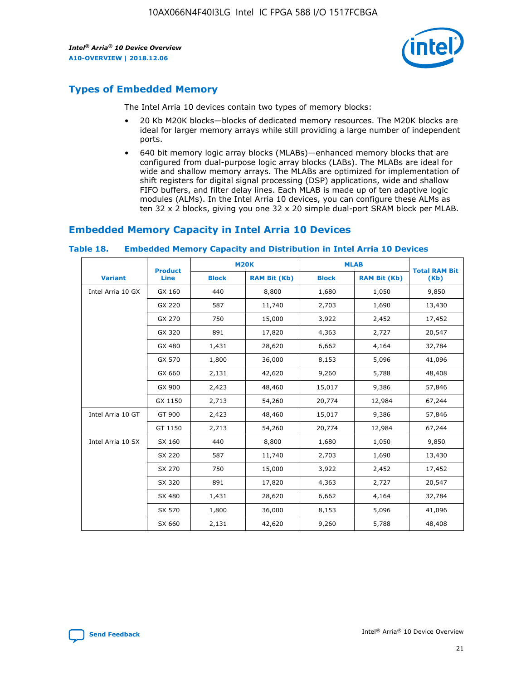

### **Types of Embedded Memory**

The Intel Arria 10 devices contain two types of memory blocks:

- 20 Kb M20K blocks—blocks of dedicated memory resources. The M20K blocks are ideal for larger memory arrays while still providing a large number of independent ports.
- 640 bit memory logic array blocks (MLABs)—enhanced memory blocks that are configured from dual-purpose logic array blocks (LABs). The MLABs are ideal for wide and shallow memory arrays. The MLABs are optimized for implementation of shift registers for digital signal processing (DSP) applications, wide and shallow FIFO buffers, and filter delay lines. Each MLAB is made up of ten adaptive logic modules (ALMs). In the Intel Arria 10 devices, you can configure these ALMs as ten 32 x 2 blocks, giving you one 32 x 20 simple dual-port SRAM block per MLAB.

### **Embedded Memory Capacity in Intel Arria 10 Devices**

| <b>Product</b>    |             |              | <b>M20K</b>         | <b>MLAB</b>  |                     | <b>Total RAM Bit</b> |
|-------------------|-------------|--------------|---------------------|--------------|---------------------|----------------------|
| <b>Variant</b>    | <b>Line</b> | <b>Block</b> | <b>RAM Bit (Kb)</b> | <b>Block</b> | <b>RAM Bit (Kb)</b> | (Kb)                 |
| Intel Arria 10 GX | GX 160      | 440          | 8,800               | 1,680        | 1,050               | 9,850                |
|                   | GX 220      | 587          | 11,740              | 2,703        | 1,690               | 13,430               |
|                   | GX 270      | 750          | 15,000              | 3,922        | 2,452               | 17,452               |
|                   | GX 320      | 891          | 17,820              | 4,363        | 2,727               | 20,547               |
|                   | GX 480      | 1,431        | 28,620              | 6,662        | 4,164               | 32,784               |
|                   | GX 570      | 1,800        | 36,000              | 8,153        | 5,096               | 41,096               |
|                   | GX 660      | 2,131        | 42,620              | 9,260        | 5,788               | 48,408               |
|                   | GX 900      | 2,423        | 48,460              | 15,017       | 9,386               | 57,846               |
|                   | GX 1150     | 2,713        | 54,260              | 20,774       | 12,984              | 67,244               |
| Intel Arria 10 GT | GT 900      | 2,423        | 48,460              | 15,017       | 9,386               | 57,846               |
|                   | GT 1150     | 2,713        | 54,260              | 20,774       | 12,984              | 67,244               |
| Intel Arria 10 SX | SX 160      | 440          | 8,800               | 1,680        | 1,050               | 9,850                |
|                   | SX 220      | 587          | 11,740              | 2,703        | 1,690               | 13,430               |
|                   | SX 270      | 750          | 15,000              | 3,922        | 2,452               | 17,452               |
|                   | SX 320      | 891          | 17,820              | 4,363        | 2,727               | 20,547               |
|                   | SX 480      | 1,431        | 28,620              | 6,662        | 4,164               | 32,784               |
|                   | SX 570      | 1,800        | 36,000              | 8,153        | 5,096               | 41,096               |
|                   | SX 660      | 2,131        | 42,620              | 9,260        | 5,788               | 48,408               |

#### **Table 18. Embedded Memory Capacity and Distribution in Intel Arria 10 Devices**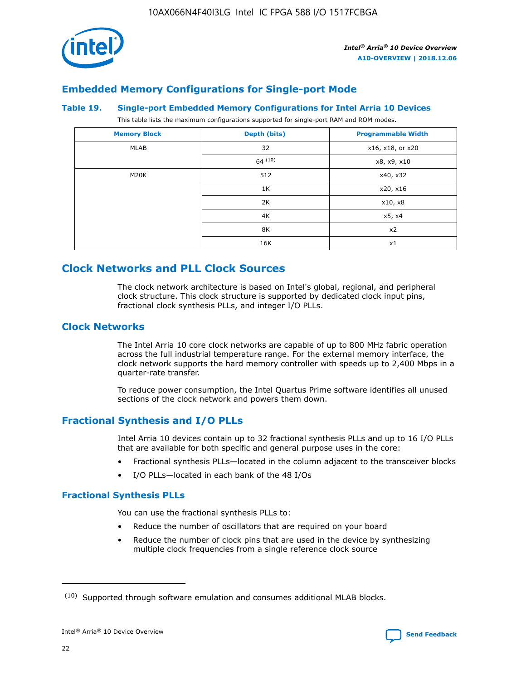

### **Embedded Memory Configurations for Single-port Mode**

#### **Table 19. Single-port Embedded Memory Configurations for Intel Arria 10 Devices**

This table lists the maximum configurations supported for single-port RAM and ROM modes.

| <b>Memory Block</b> | Depth (bits) | <b>Programmable Width</b> |
|---------------------|--------------|---------------------------|
| MLAB                | 32           | x16, x18, or x20          |
|                     | 64(10)       | x8, x9, x10               |
| M20K                | 512          | x40, x32                  |
|                     | 1K           | x20, x16                  |
|                     | 2K           | x10, x8                   |
|                     | 4K           | x5, x4                    |
|                     | 8K           | x2                        |
|                     | 16K          | x1                        |

### **Clock Networks and PLL Clock Sources**

The clock network architecture is based on Intel's global, regional, and peripheral clock structure. This clock structure is supported by dedicated clock input pins, fractional clock synthesis PLLs, and integer I/O PLLs.

### **Clock Networks**

The Intel Arria 10 core clock networks are capable of up to 800 MHz fabric operation across the full industrial temperature range. For the external memory interface, the clock network supports the hard memory controller with speeds up to 2,400 Mbps in a quarter-rate transfer.

To reduce power consumption, the Intel Quartus Prime software identifies all unused sections of the clock network and powers them down.

### **Fractional Synthesis and I/O PLLs**

Intel Arria 10 devices contain up to 32 fractional synthesis PLLs and up to 16 I/O PLLs that are available for both specific and general purpose uses in the core:

- Fractional synthesis PLLs—located in the column adjacent to the transceiver blocks
- I/O PLLs—located in each bank of the 48 I/Os

### **Fractional Synthesis PLLs**

You can use the fractional synthesis PLLs to:

- Reduce the number of oscillators that are required on your board
- Reduce the number of clock pins that are used in the device by synthesizing multiple clock frequencies from a single reference clock source

<sup>(10)</sup> Supported through software emulation and consumes additional MLAB blocks.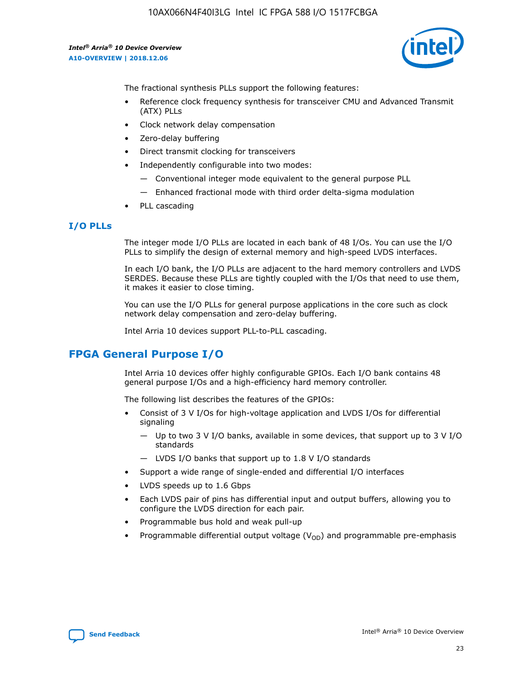

The fractional synthesis PLLs support the following features:

- Reference clock frequency synthesis for transceiver CMU and Advanced Transmit (ATX) PLLs
- Clock network delay compensation
- Zero-delay buffering
- Direct transmit clocking for transceivers
- Independently configurable into two modes:
	- Conventional integer mode equivalent to the general purpose PLL
	- Enhanced fractional mode with third order delta-sigma modulation
- PLL cascading

### **I/O PLLs**

The integer mode I/O PLLs are located in each bank of 48 I/Os. You can use the I/O PLLs to simplify the design of external memory and high-speed LVDS interfaces.

In each I/O bank, the I/O PLLs are adjacent to the hard memory controllers and LVDS SERDES. Because these PLLs are tightly coupled with the I/Os that need to use them, it makes it easier to close timing.

You can use the I/O PLLs for general purpose applications in the core such as clock network delay compensation and zero-delay buffering.

Intel Arria 10 devices support PLL-to-PLL cascading.

### **FPGA General Purpose I/O**

Intel Arria 10 devices offer highly configurable GPIOs. Each I/O bank contains 48 general purpose I/Os and a high-efficiency hard memory controller.

The following list describes the features of the GPIOs:

- Consist of 3 V I/Os for high-voltage application and LVDS I/Os for differential signaling
	- Up to two 3 V I/O banks, available in some devices, that support up to 3 V I/O standards
	- LVDS I/O banks that support up to 1.8 V I/O standards
- Support a wide range of single-ended and differential I/O interfaces
- LVDS speeds up to 1.6 Gbps
- Each LVDS pair of pins has differential input and output buffers, allowing you to configure the LVDS direction for each pair.
- Programmable bus hold and weak pull-up
- Programmable differential output voltage  $(V_{OD})$  and programmable pre-emphasis

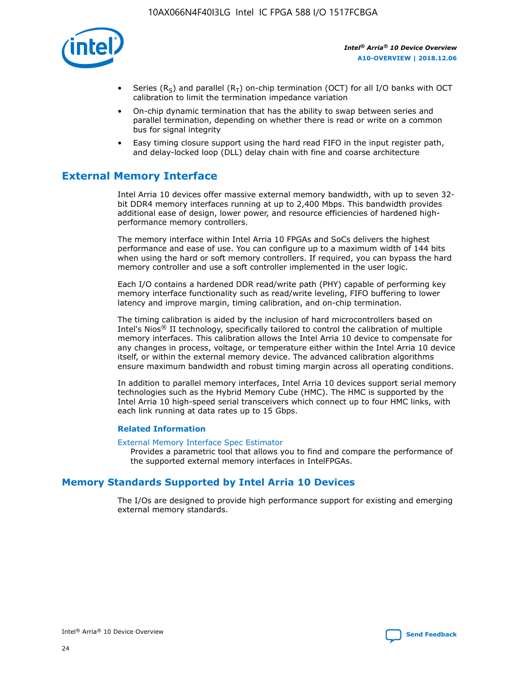

- Series (R<sub>S</sub>) and parallel (R<sub>T</sub>) on-chip termination (OCT) for all I/O banks with OCT calibration to limit the termination impedance variation
- On-chip dynamic termination that has the ability to swap between series and parallel termination, depending on whether there is read or write on a common bus for signal integrity
- Easy timing closure support using the hard read FIFO in the input register path, and delay-locked loop (DLL) delay chain with fine and coarse architecture

### **External Memory Interface**

Intel Arria 10 devices offer massive external memory bandwidth, with up to seven 32 bit DDR4 memory interfaces running at up to 2,400 Mbps. This bandwidth provides additional ease of design, lower power, and resource efficiencies of hardened highperformance memory controllers.

The memory interface within Intel Arria 10 FPGAs and SoCs delivers the highest performance and ease of use. You can configure up to a maximum width of 144 bits when using the hard or soft memory controllers. If required, you can bypass the hard memory controller and use a soft controller implemented in the user logic.

Each I/O contains a hardened DDR read/write path (PHY) capable of performing key memory interface functionality such as read/write leveling, FIFO buffering to lower latency and improve margin, timing calibration, and on-chip termination.

The timing calibration is aided by the inclusion of hard microcontrollers based on Intel's Nios® II technology, specifically tailored to control the calibration of multiple memory interfaces. This calibration allows the Intel Arria 10 device to compensate for any changes in process, voltage, or temperature either within the Intel Arria 10 device itself, or within the external memory device. The advanced calibration algorithms ensure maximum bandwidth and robust timing margin across all operating conditions.

In addition to parallel memory interfaces, Intel Arria 10 devices support serial memory technologies such as the Hybrid Memory Cube (HMC). The HMC is supported by the Intel Arria 10 high-speed serial transceivers which connect up to four HMC links, with each link running at data rates up to 15 Gbps.

### **Related Information**

#### [External Memory Interface Spec Estimator](http://www.altera.com/technology/memory/estimator/mem-emif-index.html)

Provides a parametric tool that allows you to find and compare the performance of the supported external memory interfaces in IntelFPGAs.

### **Memory Standards Supported by Intel Arria 10 Devices**

The I/Os are designed to provide high performance support for existing and emerging external memory standards.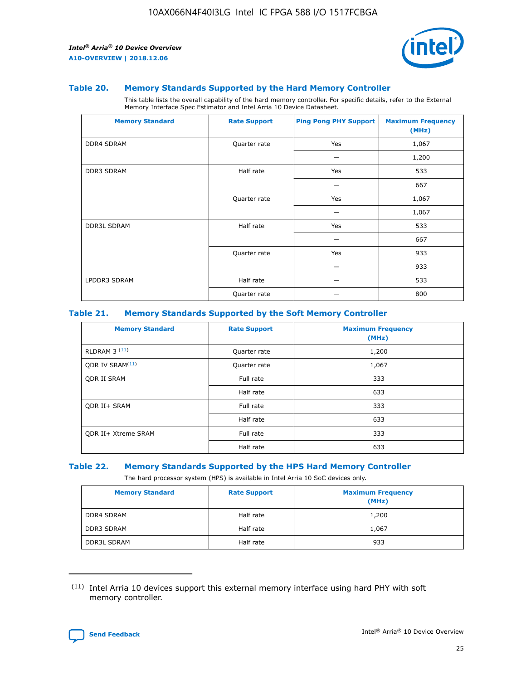

#### **Table 20. Memory Standards Supported by the Hard Memory Controller**

This table lists the overall capability of the hard memory controller. For specific details, refer to the External Memory Interface Spec Estimator and Intel Arria 10 Device Datasheet.

| <b>Memory Standard</b> | <b>Rate Support</b> | <b>Ping Pong PHY Support</b> | <b>Maximum Frequency</b><br>(MHz) |
|------------------------|---------------------|------------------------------|-----------------------------------|
| <b>DDR4 SDRAM</b>      | Quarter rate        | Yes                          | 1,067                             |
|                        |                     |                              | 1,200                             |
| <b>DDR3 SDRAM</b>      | Half rate           | Yes                          | 533                               |
|                        |                     |                              | 667                               |
|                        | Quarter rate        | Yes                          | 1,067                             |
|                        |                     |                              | 1,067                             |
| <b>DDR3L SDRAM</b>     | Half rate           | Yes                          | 533                               |
|                        |                     |                              | 667                               |
|                        | Quarter rate        | Yes                          | 933                               |
|                        |                     |                              | 933                               |
| LPDDR3 SDRAM           | Half rate           |                              | 533                               |
|                        | Quarter rate        |                              | 800                               |

### **Table 21. Memory Standards Supported by the Soft Memory Controller**

| <b>Memory Standard</b>      | <b>Rate Support</b> | <b>Maximum Frequency</b><br>(MHz) |
|-----------------------------|---------------------|-----------------------------------|
| <b>RLDRAM 3 (11)</b>        | Quarter rate        | 1,200                             |
| ODR IV SRAM <sup>(11)</sup> | Quarter rate        | 1,067                             |
| <b>ODR II SRAM</b>          | Full rate           | 333                               |
|                             | Half rate           | 633                               |
| <b>ODR II+ SRAM</b>         | Full rate           | 333                               |
|                             | Half rate           | 633                               |
| <b>ODR II+ Xtreme SRAM</b>  | Full rate           | 333                               |
|                             | Half rate           | 633                               |

#### **Table 22. Memory Standards Supported by the HPS Hard Memory Controller**

The hard processor system (HPS) is available in Intel Arria 10 SoC devices only.

| <b>Memory Standard</b> | <b>Rate Support</b> | <b>Maximum Frequency</b><br>(MHz) |
|------------------------|---------------------|-----------------------------------|
| <b>DDR4 SDRAM</b>      | Half rate           | 1,200                             |
| <b>DDR3 SDRAM</b>      | Half rate           | 1,067                             |
| <b>DDR3L SDRAM</b>     | Half rate           | 933                               |

<sup>(11)</sup> Intel Arria 10 devices support this external memory interface using hard PHY with soft memory controller.

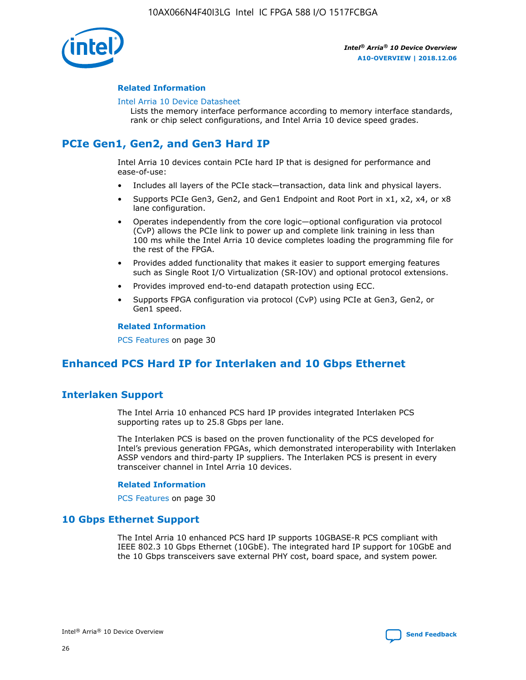

### **Related Information**

#### [Intel Arria 10 Device Datasheet](https://www.intel.com/content/www/us/en/programmable/documentation/mcn1413182292568.html#mcn1413182153340)

Lists the memory interface performance according to memory interface standards, rank or chip select configurations, and Intel Arria 10 device speed grades.

### **PCIe Gen1, Gen2, and Gen3 Hard IP**

Intel Arria 10 devices contain PCIe hard IP that is designed for performance and ease-of-use:

- Includes all layers of the PCIe stack—transaction, data link and physical layers.
- Supports PCIe Gen3, Gen2, and Gen1 Endpoint and Root Port in x1, x2, x4, or x8 lane configuration.
- Operates independently from the core logic—optional configuration via protocol (CvP) allows the PCIe link to power up and complete link training in less than 100 ms while the Intel Arria 10 device completes loading the programming file for the rest of the FPGA.
- Provides added functionality that makes it easier to support emerging features such as Single Root I/O Virtualization (SR-IOV) and optional protocol extensions.
- Provides improved end-to-end datapath protection using ECC.
- Supports FPGA configuration via protocol (CvP) using PCIe at Gen3, Gen2, or Gen1 speed.

#### **Related Information**

PCS Features on page 30

### **Enhanced PCS Hard IP for Interlaken and 10 Gbps Ethernet**

### **Interlaken Support**

The Intel Arria 10 enhanced PCS hard IP provides integrated Interlaken PCS supporting rates up to 25.8 Gbps per lane.

The Interlaken PCS is based on the proven functionality of the PCS developed for Intel's previous generation FPGAs, which demonstrated interoperability with Interlaken ASSP vendors and third-party IP suppliers. The Interlaken PCS is present in every transceiver channel in Intel Arria 10 devices.

### **Related Information**

PCS Features on page 30

### **10 Gbps Ethernet Support**

The Intel Arria 10 enhanced PCS hard IP supports 10GBASE-R PCS compliant with IEEE 802.3 10 Gbps Ethernet (10GbE). The integrated hard IP support for 10GbE and the 10 Gbps transceivers save external PHY cost, board space, and system power.

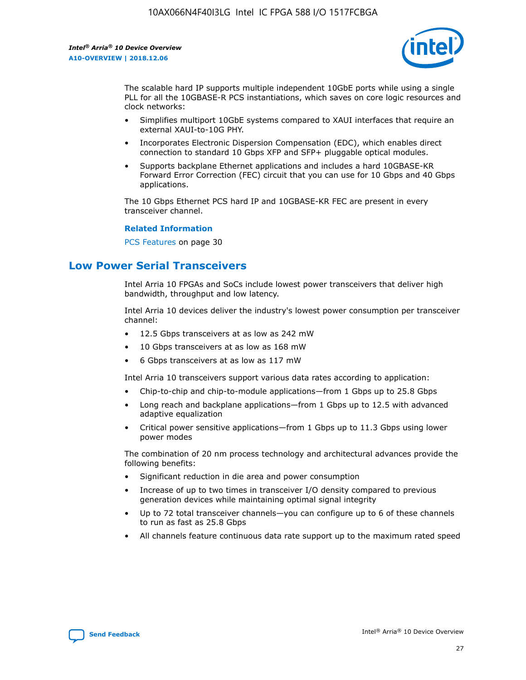

The scalable hard IP supports multiple independent 10GbE ports while using a single PLL for all the 10GBASE-R PCS instantiations, which saves on core logic resources and clock networks:

- Simplifies multiport 10GbE systems compared to XAUI interfaces that require an external XAUI-to-10G PHY.
- Incorporates Electronic Dispersion Compensation (EDC), which enables direct connection to standard 10 Gbps XFP and SFP+ pluggable optical modules.
- Supports backplane Ethernet applications and includes a hard 10GBASE-KR Forward Error Correction (FEC) circuit that you can use for 10 Gbps and 40 Gbps applications.

The 10 Gbps Ethernet PCS hard IP and 10GBASE-KR FEC are present in every transceiver channel.

#### **Related Information**

PCS Features on page 30

### **Low Power Serial Transceivers**

Intel Arria 10 FPGAs and SoCs include lowest power transceivers that deliver high bandwidth, throughput and low latency.

Intel Arria 10 devices deliver the industry's lowest power consumption per transceiver channel:

- 12.5 Gbps transceivers at as low as 242 mW
- 10 Gbps transceivers at as low as 168 mW
- 6 Gbps transceivers at as low as 117 mW

Intel Arria 10 transceivers support various data rates according to application:

- Chip-to-chip and chip-to-module applications—from 1 Gbps up to 25.8 Gbps
- Long reach and backplane applications—from 1 Gbps up to 12.5 with advanced adaptive equalization
- Critical power sensitive applications—from 1 Gbps up to 11.3 Gbps using lower power modes

The combination of 20 nm process technology and architectural advances provide the following benefits:

- Significant reduction in die area and power consumption
- Increase of up to two times in transceiver I/O density compared to previous generation devices while maintaining optimal signal integrity
- Up to 72 total transceiver channels—you can configure up to 6 of these channels to run as fast as 25.8 Gbps
- All channels feature continuous data rate support up to the maximum rated speed

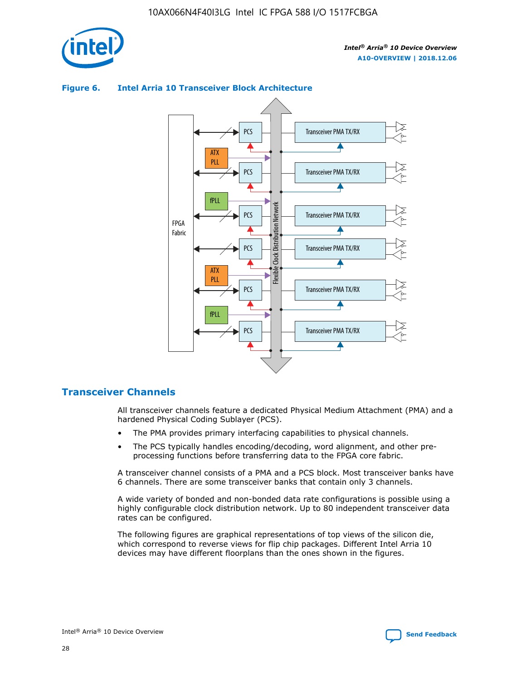

# **Figure 6. Intel Arria 10 Transceiver Block Architecture**



### **Transceiver Channels**

All transceiver channels feature a dedicated Physical Medium Attachment (PMA) and a hardened Physical Coding Sublayer (PCS).

- The PMA provides primary interfacing capabilities to physical channels.
- The PCS typically handles encoding/decoding, word alignment, and other preprocessing functions before transferring data to the FPGA core fabric.

A transceiver channel consists of a PMA and a PCS block. Most transceiver banks have 6 channels. There are some transceiver banks that contain only 3 channels.

A wide variety of bonded and non-bonded data rate configurations is possible using a highly configurable clock distribution network. Up to 80 independent transceiver data rates can be configured.

The following figures are graphical representations of top views of the silicon die, which correspond to reverse views for flip chip packages. Different Intel Arria 10 devices may have different floorplans than the ones shown in the figures.

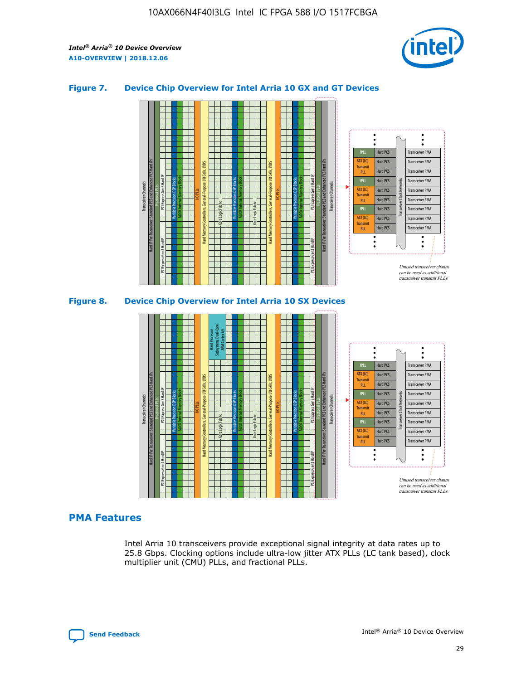

### **Figure 7. Device Chip Overview for Intel Arria 10 GX and GT Devices**



M20K Internal Memory Blocks Core Logic Fabric Transceiver Channels Hard IP Per Transceiver: Standard PCS and Enhanced PCS Hard IPs PCI Express Gen3 Hard IP Fractional PLLs M20K Internal Memory Blocks PCI Express Gen3 Hard IP Variable Precision DSP Blocks I/O PLLs Hard Memory Controllers, General-Purpose I/O Cells, LVDS Hard Processor Subsystem, Dual-Core ARM Cortex A9 M20K Internal Memory Blocks Variable Precision DSP Blocks M20K Internal Memory Blocks Core Logic Fabric I/O PLLs Hard Memory Controllers, General-Purpose I/O Cells, LVDS M20K Internal Memory Blocks Variable Precision DSP Blocks M20K Internal Memory Blocks Transceiver Channels Hard IP Per Transceiver: Standard PCS and Enhanced PCS Hard IPs PCI Express Gen3 Hard IP Fractional PLLs PCI Express Gen3 Hard IP  $\ddot{\cdot}$ Hard PCS Transceiver PMA fPLL ATX (LC) Hard PCS Transceiver PMA **Transmit** Hard PCS Transceiver PMA PLL fPLL Hard PCS Transceiver PMA Transceiver Clock Networks ATX (LC) Hard PCS Transceiver PMA Transmi Hard PCS Transceiver PMA PLL fPLL Hard PCS Transceiver PMA Transceiver PMA Hard PCS ATX (LC) **Transmit** Hard PCS Transceiver PMA PLL Unused transceiver chann can be used as additional transceiver transmit PLLs

### **PMA Features**

Intel Arria 10 transceivers provide exceptional signal integrity at data rates up to 25.8 Gbps. Clocking options include ultra-low jitter ATX PLLs (LC tank based), clock multiplier unit (CMU) PLLs, and fractional PLLs.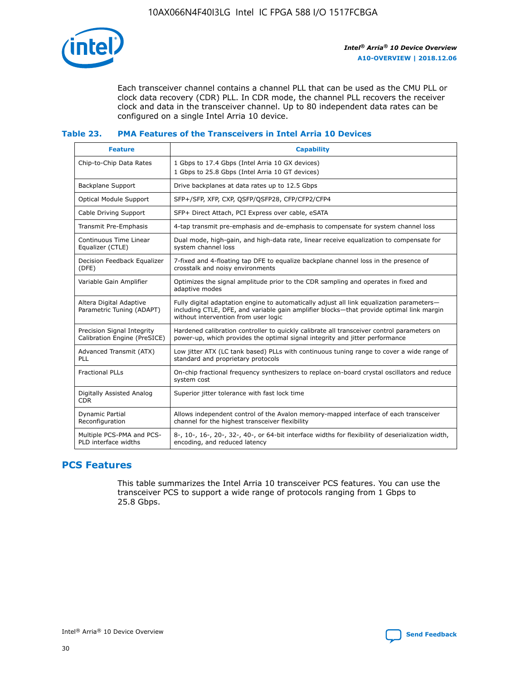

Each transceiver channel contains a channel PLL that can be used as the CMU PLL or clock data recovery (CDR) PLL. In CDR mode, the channel PLL recovers the receiver clock and data in the transceiver channel. Up to 80 independent data rates can be configured on a single Intel Arria 10 device.

### **Table 23. PMA Features of the Transceivers in Intel Arria 10 Devices**

| <b>Feature</b>                                             | <b>Capability</b>                                                                                                                                                                                                             |
|------------------------------------------------------------|-------------------------------------------------------------------------------------------------------------------------------------------------------------------------------------------------------------------------------|
| Chip-to-Chip Data Rates                                    | 1 Gbps to 17.4 Gbps (Intel Arria 10 GX devices)<br>1 Gbps to 25.8 Gbps (Intel Arria 10 GT devices)                                                                                                                            |
| Backplane Support                                          | Drive backplanes at data rates up to 12.5 Gbps                                                                                                                                                                                |
| Optical Module Support                                     | SFP+/SFP, XFP, CXP, QSFP/QSFP28, CFP/CFP2/CFP4                                                                                                                                                                                |
| Cable Driving Support                                      | SFP+ Direct Attach, PCI Express over cable, eSATA                                                                                                                                                                             |
| Transmit Pre-Emphasis                                      | 4-tap transmit pre-emphasis and de-emphasis to compensate for system channel loss                                                                                                                                             |
| Continuous Time Linear<br>Equalizer (CTLE)                 | Dual mode, high-gain, and high-data rate, linear receive equalization to compensate for<br>system channel loss                                                                                                                |
| Decision Feedback Equalizer<br>(DFE)                       | 7-fixed and 4-floating tap DFE to equalize backplane channel loss in the presence of<br>crosstalk and noisy environments                                                                                                      |
| Variable Gain Amplifier                                    | Optimizes the signal amplitude prior to the CDR sampling and operates in fixed and<br>adaptive modes                                                                                                                          |
| Altera Digital Adaptive<br>Parametric Tuning (ADAPT)       | Fully digital adaptation engine to automatically adjust all link equalization parameters-<br>including CTLE, DFE, and variable gain amplifier blocks—that provide optimal link margin<br>without intervention from user logic |
| Precision Signal Integrity<br>Calibration Engine (PreSICE) | Hardened calibration controller to quickly calibrate all transceiver control parameters on<br>power-up, which provides the optimal signal integrity and jitter performance                                                    |
| Advanced Transmit (ATX)<br><b>PLL</b>                      | Low jitter ATX (LC tank based) PLLs with continuous tuning range to cover a wide range of<br>standard and proprietary protocols                                                                                               |
| <b>Fractional PLLs</b>                                     | On-chip fractional frequency synthesizers to replace on-board crystal oscillators and reduce<br>system cost                                                                                                                   |
| Digitally Assisted Analog<br><b>CDR</b>                    | Superior jitter tolerance with fast lock time                                                                                                                                                                                 |
| Dynamic Partial<br>Reconfiguration                         | Allows independent control of the Avalon memory-mapped interface of each transceiver<br>channel for the highest transceiver flexibility                                                                                       |
| Multiple PCS-PMA and PCS-<br>PLD interface widths          | 8-, 10-, 16-, 20-, 32-, 40-, or 64-bit interface widths for flexibility of deserialization width,<br>encoding, and reduced latency                                                                                            |

### **PCS Features**

This table summarizes the Intel Arria 10 transceiver PCS features. You can use the transceiver PCS to support a wide range of protocols ranging from 1 Gbps to 25.8 Gbps.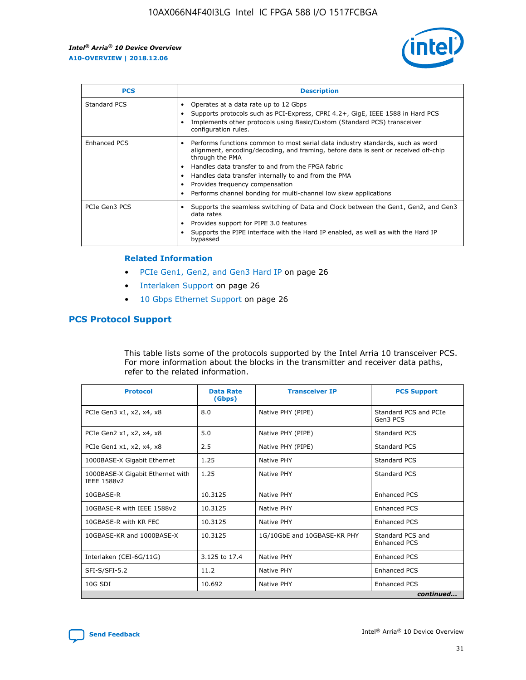

| <b>PCS</b>          | <b>Description</b>                                                                                                                                                                                                                                                                                                                                                                                             |
|---------------------|----------------------------------------------------------------------------------------------------------------------------------------------------------------------------------------------------------------------------------------------------------------------------------------------------------------------------------------------------------------------------------------------------------------|
| Standard PCS        | Operates at a data rate up to 12 Gbps<br>Supports protocols such as PCI-Express, CPRI 4.2+, GigE, IEEE 1588 in Hard PCS<br>Implements other protocols using Basic/Custom (Standard PCS) transceiver<br>configuration rules.                                                                                                                                                                                    |
| <b>Enhanced PCS</b> | Performs functions common to most serial data industry standards, such as word<br>alignment, encoding/decoding, and framing, before data is sent or received off-chip<br>through the PMA<br>• Handles data transfer to and from the FPGA fabric<br>Handles data transfer internally to and from the PMA<br>Provides frequency compensation<br>Performs channel bonding for multi-channel low skew applications |
| PCIe Gen3 PCS       | Supports the seamless switching of Data and Clock between the Gen1, Gen2, and Gen3<br>data rates<br>Provides support for PIPE 3.0 features<br>Supports the PIPE interface with the Hard IP enabled, as well as with the Hard IP<br>bypassed                                                                                                                                                                    |

#### **Related Information**

- PCIe Gen1, Gen2, and Gen3 Hard IP on page 26
- Interlaken Support on page 26
- 10 Gbps Ethernet Support on page 26

### **PCS Protocol Support**

This table lists some of the protocols supported by the Intel Arria 10 transceiver PCS. For more information about the blocks in the transmitter and receiver data paths, refer to the related information.

| <b>Protocol</b>                                 | <b>Data Rate</b><br>(Gbps) | <b>Transceiver IP</b>       | <b>PCS Support</b>                      |
|-------------------------------------------------|----------------------------|-----------------------------|-----------------------------------------|
| PCIe Gen3 x1, x2, x4, x8                        | 8.0                        | Native PHY (PIPE)           | Standard PCS and PCIe<br>Gen3 PCS       |
| PCIe Gen2 x1, x2, x4, x8                        | 5.0                        | Native PHY (PIPE)           | <b>Standard PCS</b>                     |
| PCIe Gen1 x1, x2, x4, x8                        | 2.5                        | Native PHY (PIPE)           | Standard PCS                            |
| 1000BASE-X Gigabit Ethernet                     | 1.25                       | Native PHY                  | <b>Standard PCS</b>                     |
| 1000BASE-X Gigabit Ethernet with<br>IEEE 1588v2 | 1.25                       | Native PHY                  | Standard PCS                            |
| 10GBASE-R                                       | 10.3125                    | Native PHY                  | <b>Enhanced PCS</b>                     |
| 10GBASE-R with IEEE 1588v2                      | 10.3125                    | Native PHY                  | <b>Enhanced PCS</b>                     |
| 10GBASE-R with KR FEC                           | 10.3125                    | Native PHY                  | <b>Enhanced PCS</b>                     |
| 10GBASE-KR and 1000BASE-X                       | 10.3125                    | 1G/10GbE and 10GBASE-KR PHY | Standard PCS and<br><b>Enhanced PCS</b> |
| Interlaken (CEI-6G/11G)                         | 3.125 to 17.4              | Native PHY                  | <b>Enhanced PCS</b>                     |
| SFI-S/SFI-5.2                                   | 11.2                       | Native PHY                  | <b>Enhanced PCS</b>                     |
| $10G$ SDI                                       | 10.692                     | Native PHY                  | <b>Enhanced PCS</b>                     |
|                                                 |                            |                             | continued                               |

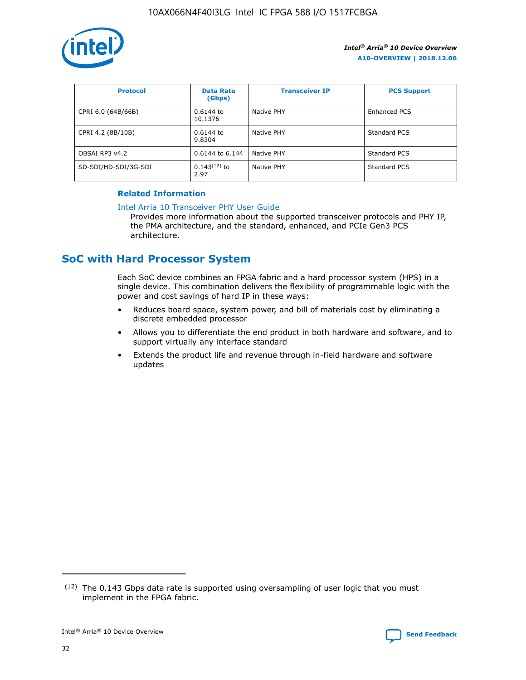

| <b>Protocol</b>      | <b>Data Rate</b><br>(Gbps) | <b>Transceiver IP</b> | <b>PCS Support</b> |
|----------------------|----------------------------|-----------------------|--------------------|
| CPRI 6.0 (64B/66B)   | 0.6144 to<br>10.1376       | Native PHY            | Enhanced PCS       |
| CPRI 4.2 (8B/10B)    | 0.6144 to<br>9.8304        | Native PHY            | Standard PCS       |
| OBSAI RP3 v4.2       | 0.6144 to 6.144            | Native PHY            | Standard PCS       |
| SD-SDI/HD-SDI/3G-SDI | $0.143(12)$ to<br>2.97     | Native PHY            | Standard PCS       |

### **Related Information**

#### [Intel Arria 10 Transceiver PHY User Guide](https://www.intel.com/content/www/us/en/programmable/documentation/nik1398707230472.html#nik1398707091164)

Provides more information about the supported transceiver protocols and PHY IP, the PMA architecture, and the standard, enhanced, and PCIe Gen3 PCS architecture.

### **SoC with Hard Processor System**

Each SoC device combines an FPGA fabric and a hard processor system (HPS) in a single device. This combination delivers the flexibility of programmable logic with the power and cost savings of hard IP in these ways:

- Reduces board space, system power, and bill of materials cost by eliminating a discrete embedded processor
- Allows you to differentiate the end product in both hardware and software, and to support virtually any interface standard
- Extends the product life and revenue through in-field hardware and software updates

 $(12)$  The 0.143 Gbps data rate is supported using oversampling of user logic that you must implement in the FPGA fabric.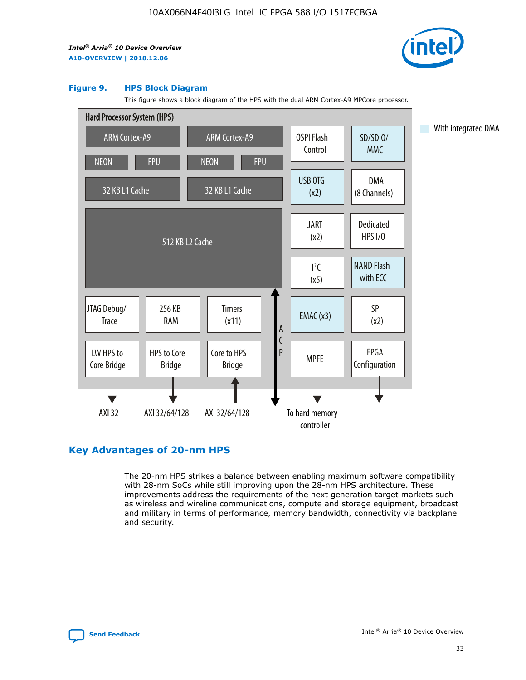

#### **Figure 9. HPS Block Diagram**

This figure shows a block diagram of the HPS with the dual ARM Cortex-A9 MPCore processor.



### **Key Advantages of 20-nm HPS**

The 20-nm HPS strikes a balance between enabling maximum software compatibility with 28-nm SoCs while still improving upon the 28-nm HPS architecture. These improvements address the requirements of the next generation target markets such as wireless and wireline communications, compute and storage equipment, broadcast and military in terms of performance, memory bandwidth, connectivity via backplane and security.

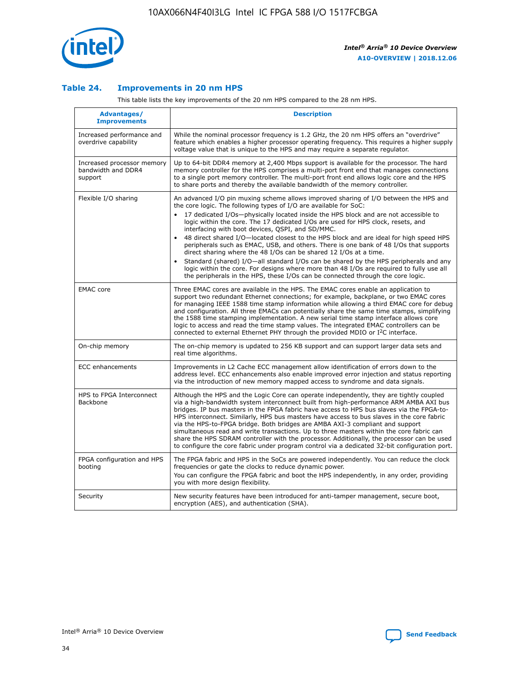

### **Table 24. Improvements in 20 nm HPS**

This table lists the key improvements of the 20 nm HPS compared to the 28 nm HPS.

| Advantages/<br><b>Improvements</b>                          | <b>Description</b>                                                                                                                                                                                                                                                                                                                                                                                                                                                                                                                                                                                                                                                                                                                                                                                                                                                                                                                   |
|-------------------------------------------------------------|--------------------------------------------------------------------------------------------------------------------------------------------------------------------------------------------------------------------------------------------------------------------------------------------------------------------------------------------------------------------------------------------------------------------------------------------------------------------------------------------------------------------------------------------------------------------------------------------------------------------------------------------------------------------------------------------------------------------------------------------------------------------------------------------------------------------------------------------------------------------------------------------------------------------------------------|
| Increased performance and<br>overdrive capability           | While the nominal processor frequency is 1.2 GHz, the 20 nm HPS offers an "overdrive"<br>feature which enables a higher processor operating frequency. This requires a higher supply<br>voltage value that is unique to the HPS and may require a separate requlator.                                                                                                                                                                                                                                                                                                                                                                                                                                                                                                                                                                                                                                                                |
| Increased processor memory<br>bandwidth and DDR4<br>support | Up to 64-bit DDR4 memory at 2,400 Mbps support is available for the processor. The hard<br>memory controller for the HPS comprises a multi-port front end that manages connections<br>to a single port memory controller. The multi-port front end allows logic core and the HPS<br>to share ports and thereby the available bandwidth of the memory controller.                                                                                                                                                                                                                                                                                                                                                                                                                                                                                                                                                                     |
| Flexible I/O sharing                                        | An advanced I/O pin muxing scheme allows improved sharing of I/O between the HPS and<br>the core logic. The following types of I/O are available for SoC:<br>17 dedicated I/Os-physically located inside the HPS block and are not accessible to<br>logic within the core. The 17 dedicated I/Os are used for HPS clock, resets, and<br>interfacing with boot devices, QSPI, and SD/MMC.<br>48 direct shared I/O-located closest to the HPS block and are ideal for high speed HPS<br>peripherals such as EMAC, USB, and others. There is one bank of 48 I/Os that supports<br>direct sharing where the 48 I/Os can be shared 12 I/Os at a time.<br>Standard (shared) I/O-all standard I/Os can be shared by the HPS peripherals and any<br>$\bullet$<br>logic within the core. For designs where more than 48 I/Os are required to fully use all<br>the peripherals in the HPS, these I/Os can be connected through the core logic. |
| <b>EMAC</b> core                                            | Three EMAC cores are available in the HPS. The EMAC cores enable an application to<br>support two redundant Ethernet connections; for example, backplane, or two EMAC cores<br>for managing IEEE 1588 time stamp information while allowing a third EMAC core for debug<br>and configuration. All three EMACs can potentially share the same time stamps, simplifying<br>the 1588 time stamping implementation. A new serial time stamp interface allows core<br>logic to access and read the time stamp values. The integrated EMAC controllers can be<br>connected to external Ethernet PHY through the provided MDIO or I <sup>2</sup> C interface.                                                                                                                                                                                                                                                                               |
| On-chip memory                                              | The on-chip memory is updated to 256 KB support and can support larger data sets and<br>real time algorithms.                                                                                                                                                                                                                                                                                                                                                                                                                                                                                                                                                                                                                                                                                                                                                                                                                        |
| <b>ECC</b> enhancements                                     | Improvements in L2 Cache ECC management allow identification of errors down to the<br>address level. ECC enhancements also enable improved error injection and status reporting<br>via the introduction of new memory mapped access to syndrome and data signals.                                                                                                                                                                                                                                                                                                                                                                                                                                                                                                                                                                                                                                                                    |
| HPS to FPGA Interconnect<br><b>Backbone</b>                 | Although the HPS and the Logic Core can operate independently, they are tightly coupled<br>via a high-bandwidth system interconnect built from high-performance ARM AMBA AXI bus<br>bridges. IP bus masters in the FPGA fabric have access to HPS bus slaves via the FPGA-to-<br>HPS interconnect. Similarly, HPS bus masters have access to bus slaves in the core fabric<br>via the HPS-to-FPGA bridge. Both bridges are AMBA AXI-3 compliant and support<br>simultaneous read and write transactions. Up to three masters within the core fabric can<br>share the HPS SDRAM controller with the processor. Additionally, the processor can be used<br>to configure the core fabric under program control via a dedicated 32-bit configuration port.                                                                                                                                                                               |
| FPGA configuration and HPS<br>booting                       | The FPGA fabric and HPS in the SoCs are powered independently. You can reduce the clock<br>frequencies or gate the clocks to reduce dynamic power.<br>You can configure the FPGA fabric and boot the HPS independently, in any order, providing<br>you with more design flexibility.                                                                                                                                                                                                                                                                                                                                                                                                                                                                                                                                                                                                                                                 |
| Security                                                    | New security features have been introduced for anti-tamper management, secure boot,<br>encryption (AES), and authentication (SHA).                                                                                                                                                                                                                                                                                                                                                                                                                                                                                                                                                                                                                                                                                                                                                                                                   |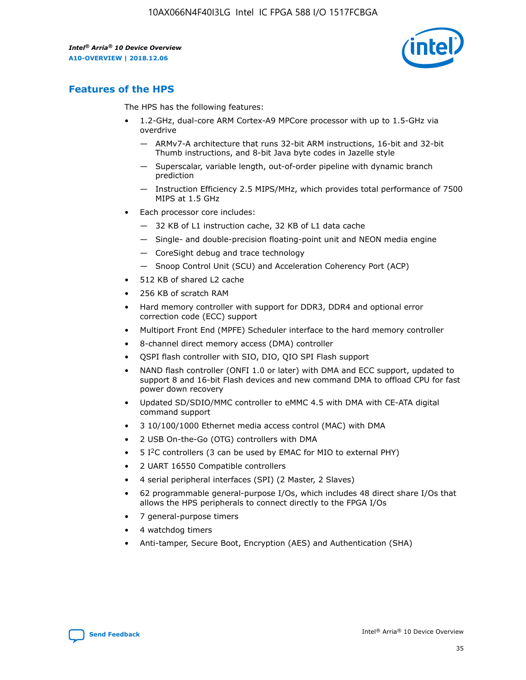

### **Features of the HPS**

The HPS has the following features:

- 1.2-GHz, dual-core ARM Cortex-A9 MPCore processor with up to 1.5-GHz via overdrive
	- ARMv7-A architecture that runs 32-bit ARM instructions, 16-bit and 32-bit Thumb instructions, and 8-bit Java byte codes in Jazelle style
	- Superscalar, variable length, out-of-order pipeline with dynamic branch prediction
	- Instruction Efficiency 2.5 MIPS/MHz, which provides total performance of 7500 MIPS at 1.5 GHz
- Each processor core includes:
	- 32 KB of L1 instruction cache, 32 KB of L1 data cache
	- Single- and double-precision floating-point unit and NEON media engine
	- CoreSight debug and trace technology
	- Snoop Control Unit (SCU) and Acceleration Coherency Port (ACP)
- 512 KB of shared L2 cache
- 256 KB of scratch RAM
- Hard memory controller with support for DDR3, DDR4 and optional error correction code (ECC) support
- Multiport Front End (MPFE) Scheduler interface to the hard memory controller
- 8-channel direct memory access (DMA) controller
- QSPI flash controller with SIO, DIO, QIO SPI Flash support
- NAND flash controller (ONFI 1.0 or later) with DMA and ECC support, updated to support 8 and 16-bit Flash devices and new command DMA to offload CPU for fast power down recovery
- Updated SD/SDIO/MMC controller to eMMC 4.5 with DMA with CE-ATA digital command support
- 3 10/100/1000 Ethernet media access control (MAC) with DMA
- 2 USB On-the-Go (OTG) controllers with DMA
- $\bullet$  5 I<sup>2</sup>C controllers (3 can be used by EMAC for MIO to external PHY)
- 2 UART 16550 Compatible controllers
- 4 serial peripheral interfaces (SPI) (2 Master, 2 Slaves)
- 62 programmable general-purpose I/Os, which includes 48 direct share I/Os that allows the HPS peripherals to connect directly to the FPGA I/Os
- 7 general-purpose timers
- 4 watchdog timers
- Anti-tamper, Secure Boot, Encryption (AES) and Authentication (SHA)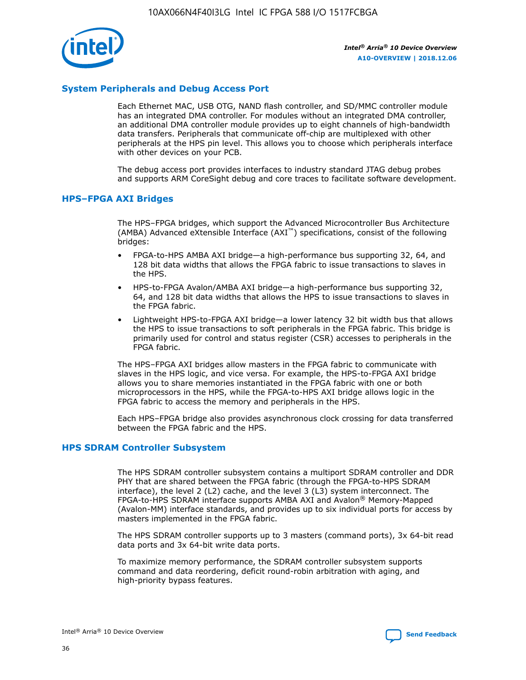

### **System Peripherals and Debug Access Port**

Each Ethernet MAC, USB OTG, NAND flash controller, and SD/MMC controller module has an integrated DMA controller. For modules without an integrated DMA controller, an additional DMA controller module provides up to eight channels of high-bandwidth data transfers. Peripherals that communicate off-chip are multiplexed with other peripherals at the HPS pin level. This allows you to choose which peripherals interface with other devices on your PCB.

The debug access port provides interfaces to industry standard JTAG debug probes and supports ARM CoreSight debug and core traces to facilitate software development.

#### **HPS–FPGA AXI Bridges**

The HPS–FPGA bridges, which support the Advanced Microcontroller Bus Architecture (AMBA) Advanced eXtensible Interface (AXI™) specifications, consist of the following bridges:

- FPGA-to-HPS AMBA AXI bridge—a high-performance bus supporting 32, 64, and 128 bit data widths that allows the FPGA fabric to issue transactions to slaves in the HPS.
- HPS-to-FPGA Avalon/AMBA AXI bridge—a high-performance bus supporting 32, 64, and 128 bit data widths that allows the HPS to issue transactions to slaves in the FPGA fabric.
- Lightweight HPS-to-FPGA AXI bridge—a lower latency 32 bit width bus that allows the HPS to issue transactions to soft peripherals in the FPGA fabric. This bridge is primarily used for control and status register (CSR) accesses to peripherals in the FPGA fabric.

The HPS–FPGA AXI bridges allow masters in the FPGA fabric to communicate with slaves in the HPS logic, and vice versa. For example, the HPS-to-FPGA AXI bridge allows you to share memories instantiated in the FPGA fabric with one or both microprocessors in the HPS, while the FPGA-to-HPS AXI bridge allows logic in the FPGA fabric to access the memory and peripherals in the HPS.

Each HPS–FPGA bridge also provides asynchronous clock crossing for data transferred between the FPGA fabric and the HPS.

#### **HPS SDRAM Controller Subsystem**

The HPS SDRAM controller subsystem contains a multiport SDRAM controller and DDR PHY that are shared between the FPGA fabric (through the FPGA-to-HPS SDRAM interface), the level 2 (L2) cache, and the level 3 (L3) system interconnect. The FPGA-to-HPS SDRAM interface supports AMBA AXI and Avalon® Memory-Mapped (Avalon-MM) interface standards, and provides up to six individual ports for access by masters implemented in the FPGA fabric.

The HPS SDRAM controller supports up to 3 masters (command ports), 3x 64-bit read data ports and 3x 64-bit write data ports.

To maximize memory performance, the SDRAM controller subsystem supports command and data reordering, deficit round-robin arbitration with aging, and high-priority bypass features.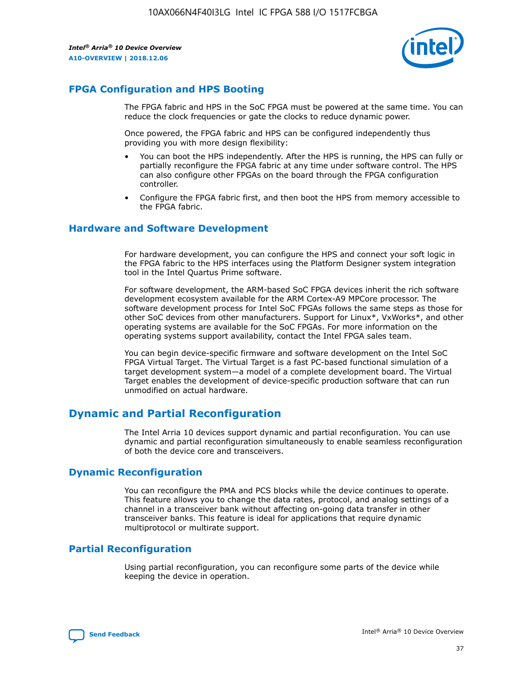

### **FPGA Configuration and HPS Booting**

The FPGA fabric and HPS in the SoC FPGA must be powered at the same time. You can reduce the clock frequencies or gate the clocks to reduce dynamic power.

Once powered, the FPGA fabric and HPS can be configured independently thus providing you with more design flexibility:

- You can boot the HPS independently. After the HPS is running, the HPS can fully or partially reconfigure the FPGA fabric at any time under software control. The HPS can also configure other FPGAs on the board through the FPGA configuration controller.
- Configure the FPGA fabric first, and then boot the HPS from memory accessible to the FPGA fabric.

### **Hardware and Software Development**

For hardware development, you can configure the HPS and connect your soft logic in the FPGA fabric to the HPS interfaces using the Platform Designer system integration tool in the Intel Quartus Prime software.

For software development, the ARM-based SoC FPGA devices inherit the rich software development ecosystem available for the ARM Cortex-A9 MPCore processor. The software development process for Intel SoC FPGAs follows the same steps as those for other SoC devices from other manufacturers. Support for Linux\*, VxWorks\*, and other operating systems are available for the SoC FPGAs. For more information on the operating systems support availability, contact the Intel FPGA sales team.

You can begin device-specific firmware and software development on the Intel SoC FPGA Virtual Target. The Virtual Target is a fast PC-based functional simulation of a target development system—a model of a complete development board. The Virtual Target enables the development of device-specific production software that can run unmodified on actual hardware.

### **Dynamic and Partial Reconfiguration**

The Intel Arria 10 devices support dynamic and partial reconfiguration. You can use dynamic and partial reconfiguration simultaneously to enable seamless reconfiguration of both the device core and transceivers.

### **Dynamic Reconfiguration**

You can reconfigure the PMA and PCS blocks while the device continues to operate. This feature allows you to change the data rates, protocol, and analog settings of a channel in a transceiver bank without affecting on-going data transfer in other transceiver banks. This feature is ideal for applications that require dynamic multiprotocol or multirate support.

### **Partial Reconfiguration**

Using partial reconfiguration, you can reconfigure some parts of the device while keeping the device in operation.

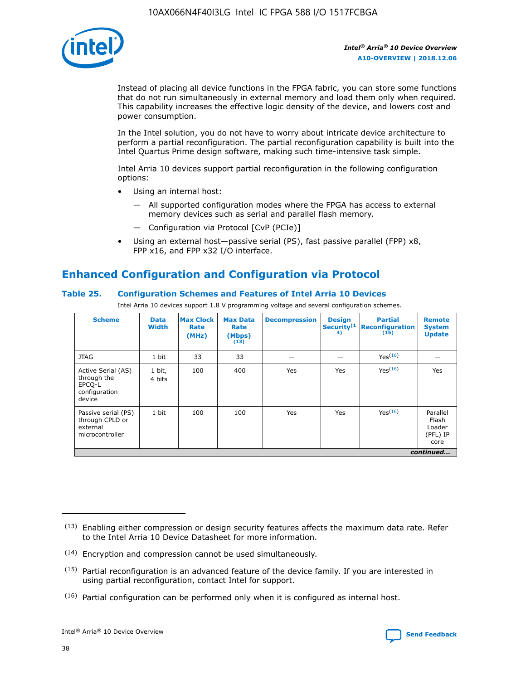

Instead of placing all device functions in the FPGA fabric, you can store some functions that do not run simultaneously in external memory and load them only when required. This capability increases the effective logic density of the device, and lowers cost and power consumption.

In the Intel solution, you do not have to worry about intricate device architecture to perform a partial reconfiguration. The partial reconfiguration capability is built into the Intel Quartus Prime design software, making such time-intensive task simple.

Intel Arria 10 devices support partial reconfiguration in the following configuration options:

- Using an internal host:
	- All supported configuration modes where the FPGA has access to external memory devices such as serial and parallel flash memory.
	- Configuration via Protocol [CvP (PCIe)]
- Using an external host—passive serial (PS), fast passive parallel (FPP) x8, FPP x16, and FPP x32 I/O interface.

### **Enhanced Configuration and Configuration via Protocol**

### **Table 25. Configuration Schemes and Features of Intel Arria 10 Devices**

Intel Arria 10 devices support 1.8 V programming voltage and several configuration schemes.

| <b>Scheme</b>                                                          | <b>Data</b><br><b>Width</b> | <b>Max Clock</b><br>Rate<br>(MHz) | <b>Max Data</b><br>Rate<br>(Mbps)<br>(13) | <b>Decompression</b> | <b>Design</b><br>Security <sup>(1</sup><br>4) | <b>Partial</b><br><b>Reconfiguration</b><br>(15) | <b>Remote</b><br><b>System</b><br><b>Update</b> |
|------------------------------------------------------------------------|-----------------------------|-----------------------------------|-------------------------------------------|----------------------|-----------------------------------------------|--------------------------------------------------|-------------------------------------------------|
| <b>JTAG</b>                                                            | 1 bit                       | 33                                | 33                                        |                      |                                               | Yes(16)                                          |                                                 |
| Active Serial (AS)<br>through the<br>EPCO-L<br>configuration<br>device | 1 bit,<br>4 bits            | 100                               | 400                                       | Yes                  | Yes                                           | $Y_{PS}(16)$                                     | Yes                                             |
| Passive serial (PS)<br>through CPLD or<br>external<br>microcontroller  | 1 bit                       | 100                               | 100                                       | Yes                  | Yes                                           | Yes(16)                                          | Parallel<br>Flash<br>Loader<br>(PFL) IP<br>core |
|                                                                        |                             |                                   |                                           |                      |                                               |                                                  | continued                                       |

<sup>(13)</sup> Enabling either compression or design security features affects the maximum data rate. Refer to the Intel Arria 10 Device Datasheet for more information.

<sup>(14)</sup> Encryption and compression cannot be used simultaneously.

 $(15)$  Partial reconfiguration is an advanced feature of the device family. If you are interested in using partial reconfiguration, contact Intel for support.

 $(16)$  Partial configuration can be performed only when it is configured as internal host.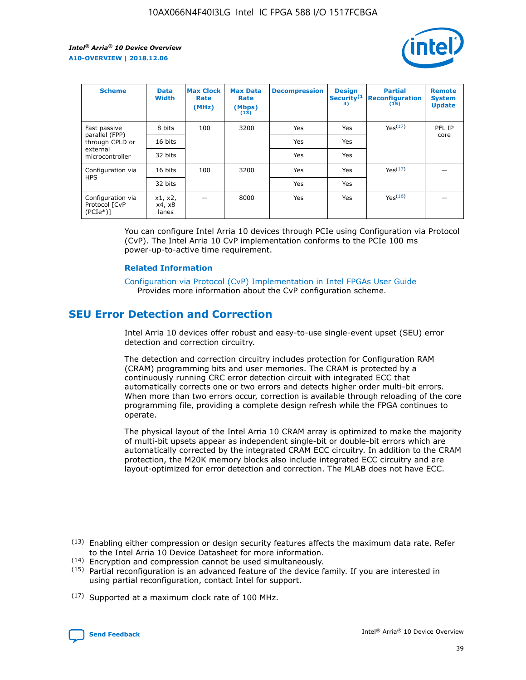

| <b>Scheme</b>                                   | <b>Data</b><br><b>Width</b> | <b>Max Clock</b><br>Rate<br>(MHz) | <b>Max Data</b><br>Rate<br>(Mbps)<br>(13) | <b>Decompression</b> | <b>Design</b><br>Security <sup>(1</sup><br>4) | <b>Partial</b><br><b>Reconfiguration</b><br>(15) | <b>Remote</b><br><b>System</b><br><b>Update</b> |
|-------------------------------------------------|-----------------------------|-----------------------------------|-------------------------------------------|----------------------|-----------------------------------------------|--------------------------------------------------|-------------------------------------------------|
| Fast passive                                    | 8 bits                      | 100                               | 3200                                      | Yes                  | Yes                                           | Yes(17)                                          | PFL IP                                          |
| parallel (FPP)<br>through CPLD or               | 16 bits                     |                                   |                                           | Yes                  | Yes                                           |                                                  | core                                            |
| external<br>microcontroller                     | 32 bits                     |                                   |                                           | Yes                  | Yes                                           |                                                  |                                                 |
| Configuration via                               | 16 bits                     | 100                               | 3200                                      | Yes                  | Yes                                           | Yes <sup>(17)</sup>                              |                                                 |
| <b>HPS</b>                                      | 32 bits                     |                                   |                                           | Yes                  | Yes                                           |                                                  |                                                 |
| Configuration via<br>Protocol [CvP<br>$(PCIe*)$ | x1, x2,<br>x4, x8<br>lanes  |                                   | 8000                                      | Yes                  | Yes                                           | Yes(16)                                          |                                                 |

You can configure Intel Arria 10 devices through PCIe using Configuration via Protocol (CvP). The Intel Arria 10 CvP implementation conforms to the PCIe 100 ms power-up-to-active time requirement.

### **Related Information**

[Configuration via Protocol \(CvP\) Implementation in Intel FPGAs User Guide](https://www.intel.com/content/www/us/en/programmable/documentation/dsu1441819344145.html#dsu1442269728522) Provides more information about the CvP configuration scheme.

### **SEU Error Detection and Correction**

Intel Arria 10 devices offer robust and easy-to-use single-event upset (SEU) error detection and correction circuitry.

The detection and correction circuitry includes protection for Configuration RAM (CRAM) programming bits and user memories. The CRAM is protected by a continuously running CRC error detection circuit with integrated ECC that automatically corrects one or two errors and detects higher order multi-bit errors. When more than two errors occur, correction is available through reloading of the core programming file, providing a complete design refresh while the FPGA continues to operate.

The physical layout of the Intel Arria 10 CRAM array is optimized to make the majority of multi-bit upsets appear as independent single-bit or double-bit errors which are automatically corrected by the integrated CRAM ECC circuitry. In addition to the CRAM protection, the M20K memory blocks also include integrated ECC circuitry and are layout-optimized for error detection and correction. The MLAB does not have ECC.

(14) Encryption and compression cannot be used simultaneously.

<sup>(17)</sup> Supported at a maximum clock rate of 100 MHz.



 $(13)$  Enabling either compression or design security features affects the maximum data rate. Refer to the Intel Arria 10 Device Datasheet for more information.

 $(15)$  Partial reconfiguration is an advanced feature of the device family. If you are interested in using partial reconfiguration, contact Intel for support.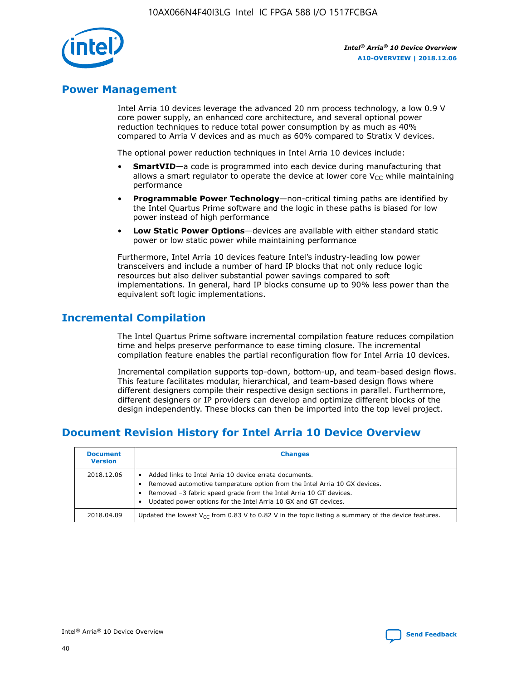

### **Power Management**

Intel Arria 10 devices leverage the advanced 20 nm process technology, a low 0.9 V core power supply, an enhanced core architecture, and several optional power reduction techniques to reduce total power consumption by as much as 40% compared to Arria V devices and as much as 60% compared to Stratix V devices.

The optional power reduction techniques in Intel Arria 10 devices include:

- **SmartVID**—a code is programmed into each device during manufacturing that allows a smart regulator to operate the device at lower core  $V_{CC}$  while maintaining performance
- **Programmable Power Technology**—non-critical timing paths are identified by the Intel Quartus Prime software and the logic in these paths is biased for low power instead of high performance
- **Low Static Power Options**—devices are available with either standard static power or low static power while maintaining performance

Furthermore, Intel Arria 10 devices feature Intel's industry-leading low power transceivers and include a number of hard IP blocks that not only reduce logic resources but also deliver substantial power savings compared to soft implementations. In general, hard IP blocks consume up to 90% less power than the equivalent soft logic implementations.

### **Incremental Compilation**

The Intel Quartus Prime software incremental compilation feature reduces compilation time and helps preserve performance to ease timing closure. The incremental compilation feature enables the partial reconfiguration flow for Intel Arria 10 devices.

Incremental compilation supports top-down, bottom-up, and team-based design flows. This feature facilitates modular, hierarchical, and team-based design flows where different designers compile their respective design sections in parallel. Furthermore, different designers or IP providers can develop and optimize different blocks of the design independently. These blocks can then be imported into the top level project.

### **Document Revision History for Intel Arria 10 Device Overview**

| <b>Document</b><br><b>Version</b> | <b>Changes</b>                                                                                                                                                                                                                                                              |
|-----------------------------------|-----------------------------------------------------------------------------------------------------------------------------------------------------------------------------------------------------------------------------------------------------------------------------|
| 2018.12.06                        | Added links to Intel Arria 10 device errata documents.<br>Removed automotive temperature option from the Intel Arria 10 GX devices.<br>Removed -3 fabric speed grade from the Intel Arria 10 GT devices.<br>Updated power options for the Intel Arria 10 GX and GT devices. |
| 2018.04.09                        | Updated the lowest $V_{CC}$ from 0.83 V to 0.82 V in the topic listing a summary of the device features.                                                                                                                                                                    |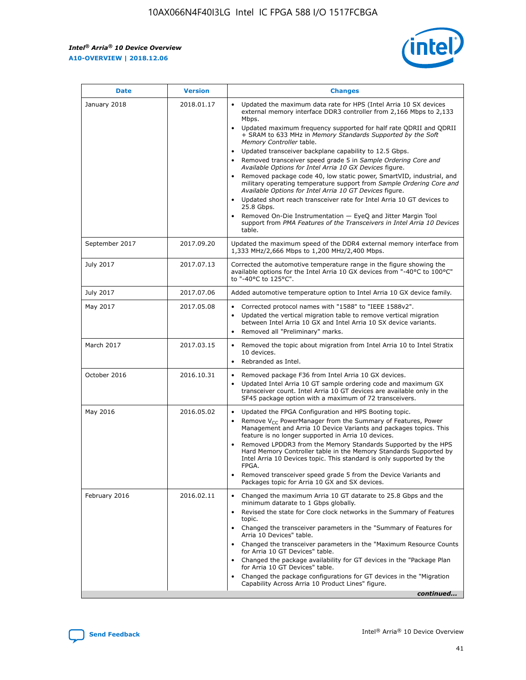

| <b>Date</b>    | <b>Version</b> | <b>Changes</b>                                                                                                                                                                                                                                                                                                                                                                                                                                                                                                                                                                                                                                                                                                                                                                                                                                                                                                                                               |
|----------------|----------------|--------------------------------------------------------------------------------------------------------------------------------------------------------------------------------------------------------------------------------------------------------------------------------------------------------------------------------------------------------------------------------------------------------------------------------------------------------------------------------------------------------------------------------------------------------------------------------------------------------------------------------------------------------------------------------------------------------------------------------------------------------------------------------------------------------------------------------------------------------------------------------------------------------------------------------------------------------------|
| January 2018   | 2018.01.17     | Updated the maximum data rate for HPS (Intel Arria 10 SX devices<br>external memory interface DDR3 controller from 2,166 Mbps to 2,133<br>Mbps.<br>Updated maximum frequency supported for half rate QDRII and QDRII<br>+ SRAM to 633 MHz in Memory Standards Supported by the Soft<br>Memory Controller table.<br>Updated transceiver backplane capability to 12.5 Gbps.<br>Removed transceiver speed grade 5 in Sample Ordering Core and<br>Available Options for Intel Arria 10 GX Devices figure.<br>Removed package code 40, low static power, SmartVID, industrial, and<br>military operating temperature support from Sample Ordering Core and<br>Available Options for Intel Arria 10 GT Devices figure.<br>Updated short reach transceiver rate for Intel Arria 10 GT devices to<br>25.8 Gbps.<br>Removed On-Die Instrumentation - EyeQ and Jitter Margin Tool<br>support from PMA Features of the Transceivers in Intel Arria 10 Devices<br>table. |
| September 2017 | 2017.09.20     | Updated the maximum speed of the DDR4 external memory interface from<br>1,333 MHz/2,666 Mbps to 1,200 MHz/2,400 Mbps.                                                                                                                                                                                                                                                                                                                                                                                                                                                                                                                                                                                                                                                                                                                                                                                                                                        |
| July 2017      | 2017.07.13     | Corrected the automotive temperature range in the figure showing the<br>available options for the Intel Arria 10 GX devices from "-40°C to 100°C"<br>to "-40°C to 125°C".                                                                                                                                                                                                                                                                                                                                                                                                                                                                                                                                                                                                                                                                                                                                                                                    |
| July 2017      | 2017.07.06     | Added automotive temperature option to Intel Arria 10 GX device family.                                                                                                                                                                                                                                                                                                                                                                                                                                                                                                                                                                                                                                                                                                                                                                                                                                                                                      |
| May 2017       | 2017.05.08     | Corrected protocol names with "1588" to "IEEE 1588v2".<br>Updated the vertical migration table to remove vertical migration<br>$\bullet$<br>between Intel Arria 10 GX and Intel Arria 10 SX device variants.<br>Removed all "Preliminary" marks.                                                                                                                                                                                                                                                                                                                                                                                                                                                                                                                                                                                                                                                                                                             |
| March 2017     | 2017.03.15     | Removed the topic about migration from Intel Arria 10 to Intel Stratix<br>10 devices.<br>Rebranded as Intel.<br>$\bullet$                                                                                                                                                                                                                                                                                                                                                                                                                                                                                                                                                                                                                                                                                                                                                                                                                                    |
| October 2016   | 2016.10.31     | Removed package F36 from Intel Arria 10 GX devices.<br>Updated Intel Arria 10 GT sample ordering code and maximum GX<br>$\bullet$<br>transceiver count. Intel Arria 10 GT devices are available only in the<br>SF45 package option with a maximum of 72 transceivers.                                                                                                                                                                                                                                                                                                                                                                                                                                                                                                                                                                                                                                                                                        |
| May 2016       | 2016.05.02     | Updated the FPGA Configuration and HPS Booting topic.<br>$\bullet$<br>Remove V <sub>CC</sub> PowerManager from the Summary of Features, Power<br>Management and Arria 10 Device Variants and packages topics. This<br>feature is no longer supported in Arria 10 devices.<br>Removed LPDDR3 from the Memory Standards Supported by the HPS<br>Hard Memory Controller table in the Memory Standards Supported by<br>Intel Arria 10 Devices topic. This standard is only supported by the<br>FPGA.<br>Removed transceiver speed grade 5 from the Device Variants and<br>Packages topic for Arria 10 GX and SX devices.                                                                                                                                                                                                                                                                                                                                         |
| February 2016  | 2016.02.11     | Changed the maximum Arria 10 GT datarate to 25.8 Gbps and the<br>minimum datarate to 1 Gbps globally.<br>Revised the state for Core clock networks in the Summary of Features<br>topic.<br>Changed the transceiver parameters in the "Summary of Features for<br>Arria 10 Devices" table.<br>Changed the transceiver parameters in the "Maximum Resource Counts"<br>for Arria 10 GT Devices" table.<br>Changed the package availability for GT devices in the "Package Plan<br>for Arria 10 GT Devices" table.<br>Changed the package configurations for GT devices in the "Migration"<br>Capability Across Arria 10 Product Lines" figure.<br>continued                                                                                                                                                                                                                                                                                                     |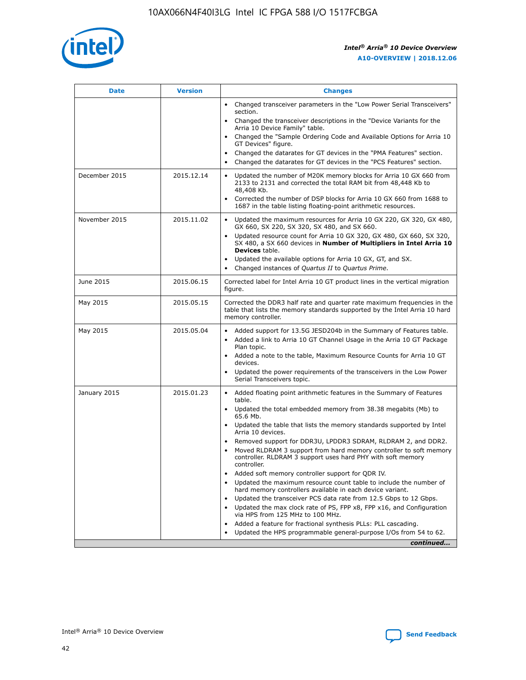

| <b>Date</b>   | <b>Version</b> | <b>Changes</b>                                                                                                                                                                   |
|---------------|----------------|----------------------------------------------------------------------------------------------------------------------------------------------------------------------------------|
|               |                | • Changed transceiver parameters in the "Low Power Serial Transceivers"<br>section.                                                                                              |
|               |                | • Changed the transceiver descriptions in the "Device Variants for the<br>Arria 10 Device Family" table.                                                                         |
|               |                | Changed the "Sample Ordering Code and Available Options for Arria 10<br>GT Devices" figure.                                                                                      |
|               |                | Changed the datarates for GT devices in the "PMA Features" section.                                                                                                              |
|               |                | Changed the datarates for GT devices in the "PCS Features" section.<br>$\bullet$                                                                                                 |
| December 2015 | 2015.12.14     | Updated the number of M20K memory blocks for Arria 10 GX 660 from<br>$\bullet$<br>2133 to 2131 and corrected the total RAM bit from 48,448 Kb to<br>48,408 Kb.                   |
|               |                | Corrected the number of DSP blocks for Arria 10 GX 660 from 1688 to<br>$\bullet$<br>1687 in the table listing floating-point arithmetic resources.                               |
| November 2015 | 2015.11.02     | Updated the maximum resources for Arria 10 GX 220, GX 320, GX 480,<br>$\bullet$<br>GX 660, SX 220, SX 320, SX 480, and SX 660.                                                   |
|               |                | Updated resource count for Arria 10 GX 320, GX 480, GX 660, SX 320,<br>$\bullet$<br>SX 480, a SX 660 devices in Number of Multipliers in Intel Arria 10<br><b>Devices</b> table. |
|               |                | Updated the available options for Arria 10 GX, GT, and SX.<br>$\bullet$                                                                                                          |
|               |                | Changed instances of Quartus II to Quartus Prime.<br>$\bullet$                                                                                                                   |
| June 2015     | 2015.06.15     | Corrected label for Intel Arria 10 GT product lines in the vertical migration<br>figure.                                                                                         |
| May 2015      | 2015.05.15     | Corrected the DDR3 half rate and quarter rate maximum frequencies in the<br>table that lists the memory standards supported by the Intel Arria 10 hard<br>memory controller.     |
| May 2015      | 2015.05.04     | • Added support for 13.5G JESD204b in the Summary of Features table.<br>• Added a link to Arria 10 GT Channel Usage in the Arria 10 GT Package<br>Plan topic.                    |
|               |                | • Added a note to the table, Maximum Resource Counts for Arria 10 GT<br>devices.                                                                                                 |
|               |                | Updated the power requirements of the transceivers in the Low Power<br>Serial Transceivers topic.                                                                                |
| January 2015  | 2015.01.23     | • Added floating point arithmetic features in the Summary of Features<br>table.                                                                                                  |
|               |                | • Updated the total embedded memory from 38.38 megabits (Mb) to<br>65.6 Mb.                                                                                                      |
|               |                | • Updated the table that lists the memory standards supported by Intel<br>Arria 10 devices.                                                                                      |
|               |                | Removed support for DDR3U, LPDDR3 SDRAM, RLDRAM 2, and DDR2.                                                                                                                     |
|               |                | Moved RLDRAM 3 support from hard memory controller to soft memory<br>controller. RLDRAM 3 support uses hard PHY with soft memory<br>controller.                                  |
|               |                | Added soft memory controller support for QDR IV.                                                                                                                                 |
|               |                | Updated the maximum resource count table to include the number of<br>hard memory controllers available in each device variant.                                                   |
|               |                | Updated the transceiver PCS data rate from 12.5 Gbps to 12 Gbps.<br>$\bullet$                                                                                                    |
|               |                | Updated the max clock rate of PS, FPP x8, FPP x16, and Configuration<br>via HPS from 125 MHz to 100 MHz.                                                                         |
|               |                | Added a feature for fractional synthesis PLLs: PLL cascading.                                                                                                                    |
|               |                | Updated the HPS programmable general-purpose I/Os from 54 to 62.                                                                                                                 |
|               |                | continued                                                                                                                                                                        |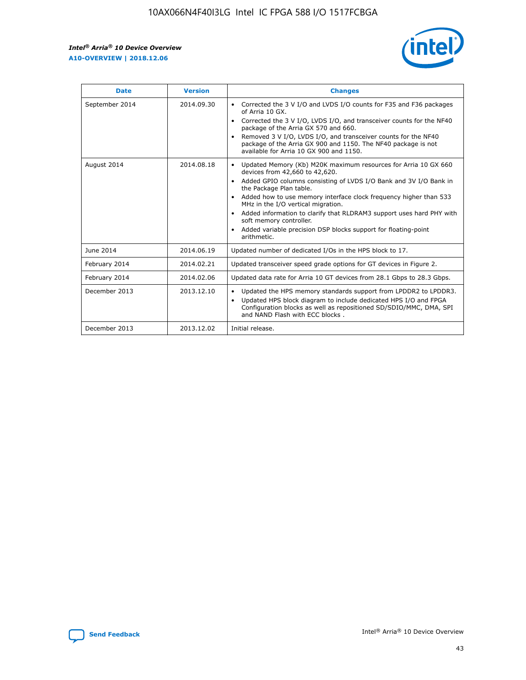r



| <b>Date</b>    | <b>Version</b> | <b>Changes</b>                                                                                                                                                                                                                                                                                                                                                                                                                                                                                                                                      |
|----------------|----------------|-----------------------------------------------------------------------------------------------------------------------------------------------------------------------------------------------------------------------------------------------------------------------------------------------------------------------------------------------------------------------------------------------------------------------------------------------------------------------------------------------------------------------------------------------------|
| September 2014 | 2014.09.30     | Corrected the 3 V I/O and LVDS I/O counts for F35 and F36 packages<br>$\bullet$<br>of Arria 10 GX.<br>Corrected the 3 V I/O, LVDS I/O, and transceiver counts for the NF40<br>$\bullet$<br>package of the Arria GX 570 and 660.<br>Removed 3 V I/O, LVDS I/O, and transceiver counts for the NF40<br>package of the Arria GX 900 and 1150. The NF40 package is not<br>available for Arria 10 GX 900 and 1150.                                                                                                                                       |
| August 2014    | 2014.08.18     | Updated Memory (Kb) M20K maximum resources for Arria 10 GX 660<br>devices from 42,660 to 42,620.<br>Added GPIO columns consisting of LVDS I/O Bank and 3V I/O Bank in<br>$\bullet$<br>the Package Plan table.<br>Added how to use memory interface clock frequency higher than 533<br>$\bullet$<br>MHz in the I/O vertical migration.<br>Added information to clarify that RLDRAM3 support uses hard PHY with<br>$\bullet$<br>soft memory controller.<br>Added variable precision DSP blocks support for floating-point<br>$\bullet$<br>arithmetic. |
| June 2014      | 2014.06.19     | Updated number of dedicated I/Os in the HPS block to 17.                                                                                                                                                                                                                                                                                                                                                                                                                                                                                            |
| February 2014  | 2014.02.21     | Updated transceiver speed grade options for GT devices in Figure 2.                                                                                                                                                                                                                                                                                                                                                                                                                                                                                 |
| February 2014  | 2014.02.06     | Updated data rate for Arria 10 GT devices from 28.1 Gbps to 28.3 Gbps.                                                                                                                                                                                                                                                                                                                                                                                                                                                                              |
| December 2013  | 2013.12.10     | Updated the HPS memory standards support from LPDDR2 to LPDDR3.<br>Updated HPS block diagram to include dedicated HPS I/O and FPGA<br>$\bullet$<br>Configuration blocks as well as repositioned SD/SDIO/MMC, DMA, SPI<br>and NAND Flash with ECC blocks.                                                                                                                                                                                                                                                                                            |
| December 2013  | 2013.12.02     | Initial release.                                                                                                                                                                                                                                                                                                                                                                                                                                                                                                                                    |